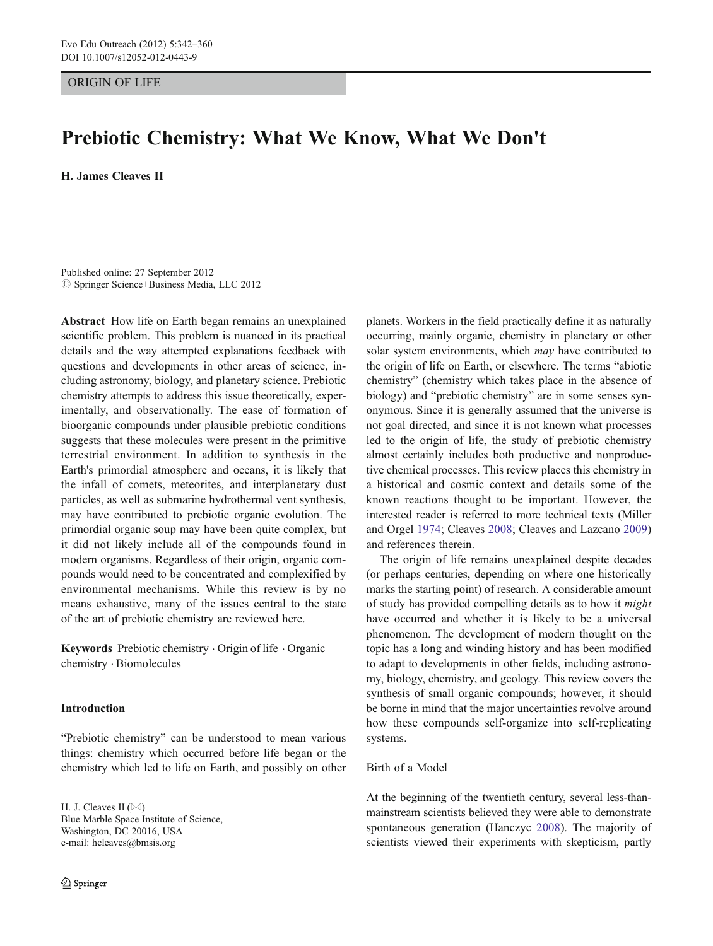# ORIGIN OF LIFE

# Prebiotic Chemistry: What We Know, What We Don't

H. James Cleaves II

Published online: 27 September 2012  $\circ$  Springer Science+Business Media, LLC 2012

Abstract How life on Earth began remains an unexplained scientific problem. This problem is nuanced in its practical details and the way attempted explanations feedback with questions and developments in other areas of science, including astronomy, biology, and planetary science. Prebiotic chemistry attempts to address this issue theoretically, experimentally, and observationally. The ease of formation of bioorganic compounds under plausible prebiotic conditions suggests that these molecules were present in the primitive terrestrial environment. In addition to synthesis in the Earth's primordial atmosphere and oceans, it is likely that the infall of comets, meteorites, and interplanetary dust particles, as well as submarine hydrothermal vent synthesis, may have contributed to prebiotic organic evolution. The primordial organic soup may have been quite complex, but it did not likely include all of the compounds found in modern organisms. Regardless of their origin, organic compounds would need to be concentrated and complexified by environmental mechanisms. While this review is by no means exhaustive, many of the issues central to the state of the art of prebiotic chemistry are reviewed here.

Keywords Prebiotic chemistry . Origin of life . Organic chemistry . Biomolecules

# Introduction

"Prebiotic chemistry" can be understood to mean various things: chemistry which occurred before life began or the chemistry which led to life on Earth, and possibly on other

H. J. Cleaves II  $(\boxtimes)$ Blue Marble Space Institute of Science, Washington, DC 20016, USA e-mail: hcleaves@bmsis.org

planets. Workers in the field practically define it as naturally occurring, mainly organic, chemistry in planetary or other solar system environments, which may have contributed to the origin of life on Earth, or elsewhere. The terms "abiotic chemistry" (chemistry which takes place in the absence of biology) and "prebiotic chemistry" are in some senses synonymous. Since it is generally assumed that the universe is not goal directed, and since it is not known what processes led to the origin of life, the study of prebiotic chemistry almost certainly includes both productive and nonproductive chemical processes. This review places this chemistry in a historical and cosmic context and details some of the known reactions thought to be important. However, the interested reader is referred to more technical texts (Miller and Orgel [1974](#page-16-0); Cleaves [2008](#page-15-0); Cleaves and Lazcano [2009](#page-15-0)) and references therein.

The origin of life remains unexplained despite decades (or perhaps centuries, depending on where one historically marks the starting point) of research. A considerable amount of study has provided compelling details as to how it might have occurred and whether it is likely to be a universal phenomenon. The development of modern thought on the topic has a long and winding history and has been modified to adapt to developments in other fields, including astronomy, biology, chemistry, and geology. This review covers the synthesis of small organic compounds; however, it should be borne in mind that the major uncertainties revolve around how these compounds self-organize into self-replicating systems.

# Birth of a Model

At the beginning of the twentieth century, several less-thanmainstream scientists believed they were able to demonstrate spontaneous generation (Hanczyc [2008](#page-16-0)). The majority of scientists viewed their experiments with skepticism, partly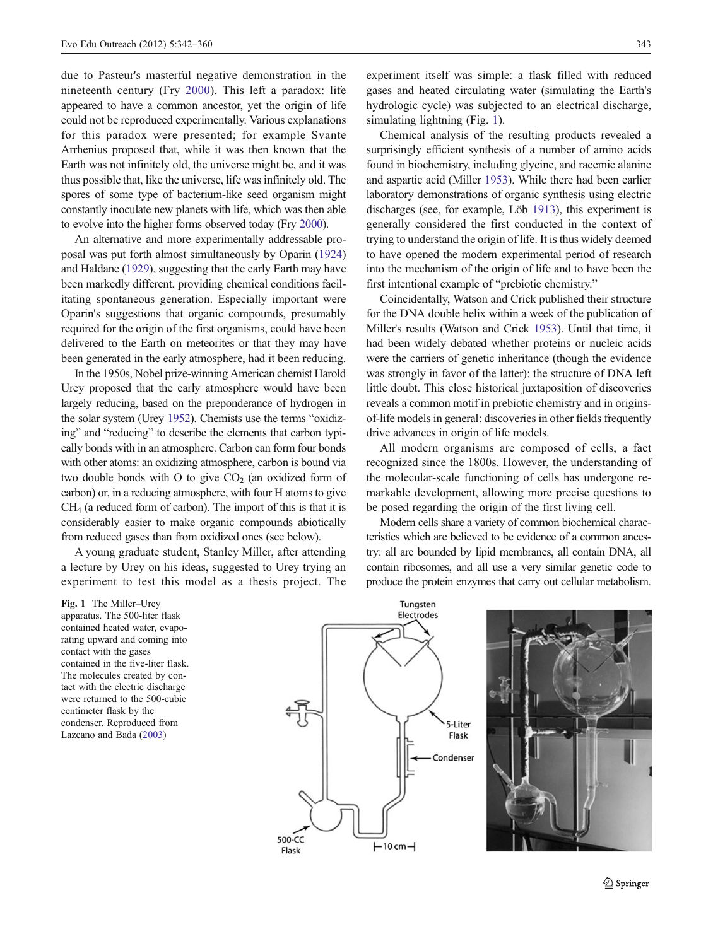due to Pasteur's masterful negative demonstration in the nineteenth century (Fry [2000\)](#page-15-0). This left a paradox: life appeared to have a common ancestor, yet the origin of life could not be reproduced experimentally. Various explanations for this paradox were presented; for example Svante Arrhenius proposed that, while it was then known that the Earth was not infinitely old, the universe might be, and it was thus possible that, like the universe, life was infinitely old. The spores of some type of bacterium-like seed organism might constantly inoculate new planets with life, which was then able to evolve into the higher forms observed today (Fry [2000](#page-15-0)).

An alternative and more experimentally addressable proposal was put forth almost simultaneously by Oparin [\(1924\)](#page-17-0) and Haldane [\(1929\)](#page-16-0), suggesting that the early Earth may have been markedly different, providing chemical conditions facilitating spontaneous generation. Especially important were Oparin's suggestions that organic compounds, presumably required for the origin of the first organisms, could have been delivered to the Earth on meteorites or that they may have been generated in the early atmosphere, had it been reducing.

In the 1950s, Nobel prize-winning American chemist Harold Urey proposed that the early atmosphere would have been largely reducing, based on the preponderance of hydrogen in the solar system (Urey [1952](#page-18-0)). Chemists use the terms "oxidizing" and "reducing" to describe the elements that carbon typically bonds with in an atmosphere. Carbon can form four bonds with other atoms: an oxidizing atmosphere, carbon is bound via two double bonds with O to give  $CO<sub>2</sub>$  (an oxidized form of carbon) or, in a reducing atmosphere, with four H atoms to give CH4 (a reduced form of carbon). The import of this is that it is considerably easier to make organic compounds abiotically from reduced gases than from oxidized ones (see below).

A young graduate student, Stanley Miller, after attending a lecture by Urey on his ideas, suggested to Urey trying an experiment to test this model as a thesis project. The experiment itself was simple: a flask filled with reduced gases and heated circulating water (simulating the Earth's hydrologic cycle) was subjected to an electrical discharge, simulating lightning (Fig. 1).

Chemical analysis of the resulting products revealed a surprisingly efficient synthesis of a number of amino acids found in biochemistry, including glycine, and racemic alanine and aspartic acid (Miller [1953](#page-16-0)). While there had been earlier laboratory demonstrations of organic synthesis using electric discharges (see, for example, Löb [1913](#page-16-0)), this experiment is generally considered the first conducted in the context of trying to understand the origin of life. It is thus widely deemed to have opened the modern experimental period of research into the mechanism of the origin of life and to have been the first intentional example of "prebiotic chemistry."

Coincidentally, Watson and Crick published their structure for the DNA double helix within a week of the publication of Miller's results (Watson and Crick [1953\)](#page-18-0). Until that time, it had been widely debated whether proteins or nucleic acids were the carriers of genetic inheritance (though the evidence was strongly in favor of the latter): the structure of DNA left little doubt. This close historical juxtaposition of discoveries reveals a common motif in prebiotic chemistry and in originsof-life models in general: discoveries in other fields frequently drive advances in origin of life models.

All modern organisms are composed of cells, a fact recognized since the 1800s. However, the understanding of the molecular-scale functioning of cells has undergone remarkable development, allowing more precise questions to be posed regarding the origin of the first living cell.

Modern cells share a variety of common biochemical characteristics which are believed to be evidence of a common ancestry: all are bounded by lipid membranes, all contain DNA, all contain ribosomes, and all use a very similar genetic code to produce the protein enzymes that carry out cellular metabolism.

Fig. 1 The Miller–Urey apparatus. The 500-liter flask contained heated water, evaporating upward and coming into contact with the gases contained in the five-liter flask. The molecules created by contact with the electric discharge were returned to the 500-cubic centimeter flask by the condenser. Reproduced from Lazcano and Bada [\(2003](#page-16-0))



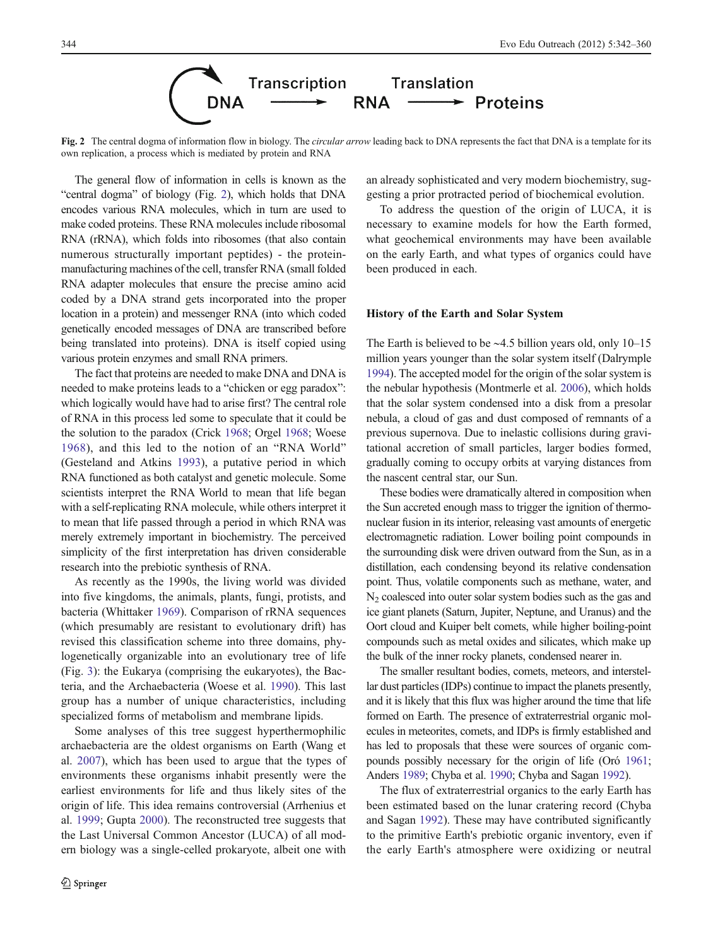

Fig. 2 The central dogma of information flow in biology. The circular arrow leading back to DNA represents the fact that DNA is a template for its own replication, a process which is mediated by protein and RNA

The general flow of information in cells is known as the "central dogma" of biology (Fig. 2), which holds that DNA encodes various RNA molecules, which in turn are used to make coded proteins. These RNA molecules include ribosomal RNA (rRNA), which folds into ribosomes (that also contain numerous structurally important peptides) - the proteinmanufacturing machines of the cell, transfer RNA (small folded RNA adapter molecules that ensure the precise amino acid coded by a DNA strand gets incorporated into the proper location in a protein) and messenger RNA (into which coded genetically encoded messages of DNA are transcribed before being translated into proteins). DNA is itself copied using various protein enzymes and small RNA primers.

The fact that proteins are needed to make DNA and DNA is needed to make proteins leads to a "chicken or egg paradox": which logically would have had to arise first? The central role of RNA in this process led some to speculate that it could be the solution to the paradox (Crick [1968](#page-15-0); Orgel [1968;](#page-17-0) Woese [1968](#page-18-0)), and this led to the notion of an "RNA World" (Gesteland and Atkins [1993\)](#page-15-0), a putative period in which RNA functioned as both catalyst and genetic molecule. Some scientists interpret the RNA World to mean that life began with a self-replicating RNA molecule, while others interpret it to mean that life passed through a period in which RNA was merely extremely important in biochemistry. The perceived simplicity of the first interpretation has driven considerable research into the prebiotic synthesis of RNA.

As recently as the 1990s, the living world was divided into five kingdoms, the animals, plants, fungi, protists, and bacteria (Whittaker [1969\)](#page-18-0). Comparison of rRNA sequences (which presumably are resistant to evolutionary drift) has revised this classification scheme into three domains, phylogenetically organizable into an evolutionary tree of life (Fig. [3\)](#page-3-0): the Eukarya (comprising the eukaryotes), the Bacteria, and the Archaebacteria (Woese et al. [1990\)](#page-18-0). This last group has a number of unique characteristics, including specialized forms of metabolism and membrane lipids.

Some analyses of this tree suggest hyperthermophilic archaebacteria are the oldest organisms on Earth (Wang et al. [2007](#page-18-0)), which has been used to argue that the types of environments these organisms inhabit presently were the earliest environments for life and thus likely sites of the origin of life. This idea remains controversial (Arrhenius et al. [1999;](#page-15-0) Gupta [2000\)](#page-16-0). The reconstructed tree suggests that the Last Universal Common Ancestor (LUCA) of all modern biology was a single-celled prokaryote, albeit one with an already sophisticated and very modern biochemistry, suggesting a prior protracted period of biochemical evolution.

To address the question of the origin of LUCA, it is necessary to examine models for how the Earth formed, what geochemical environments may have been available on the early Earth, and what types of organics could have been produced in each.

#### History of the Earth and Solar System

The Earth is believed to be ∼4.5 billion years old, only 10–15 million years younger than the solar system itself (Dalrymple [1994\)](#page-15-0). The accepted model for the origin of the solar system is the nebular hypothesis (Montmerle et al. [2006\)](#page-17-0), which holds that the solar system condensed into a disk from a presolar nebula, a cloud of gas and dust composed of remnants of a previous supernova. Due to inelastic collisions during gravitational accretion of small particles, larger bodies formed, gradually coming to occupy orbits at varying distances from the nascent central star, our Sun.

These bodies were dramatically altered in composition when the Sun accreted enough mass to trigger the ignition of thermonuclear fusion in its interior, releasing vast amounts of energetic electromagnetic radiation. Lower boiling point compounds in the surrounding disk were driven outward from the Sun, as in a distillation, each condensing beyond its relative condensation point. Thus, volatile components such as methane, water, and  $N_2$  coalesced into outer solar system bodies such as the gas and ice giant planets (Saturn, Jupiter, Neptune, and Uranus) and the Oort cloud and Kuiper belt comets, while higher boiling-point compounds such as metal oxides and silicates, which make up the bulk of the inner rocky planets, condensed nearer in.

The smaller resultant bodies, comets, meteors, and interstellar dust particles (IDPs) continue to impact the planets presently, and it is likely that this flux was higher around the time that life formed on Earth. The presence of extraterrestrial organic molecules in meteorites, comets, and IDPs is firmly established and has led to proposals that these were sources of organic compounds possibly necessary for the origin of life (Oró [1961;](#page-17-0) Anders [1989](#page-14-0); Chyba et al. [1990;](#page-15-0) Chyba and Sagan [1992](#page-15-0)).

The flux of extraterrestrial organics to the early Earth has been estimated based on the lunar cratering record (Chyba and Sagan [1992](#page-15-0)). These may have contributed significantly to the primitive Earth's prebiotic organic inventory, even if the early Earth's atmosphere were oxidizing or neutral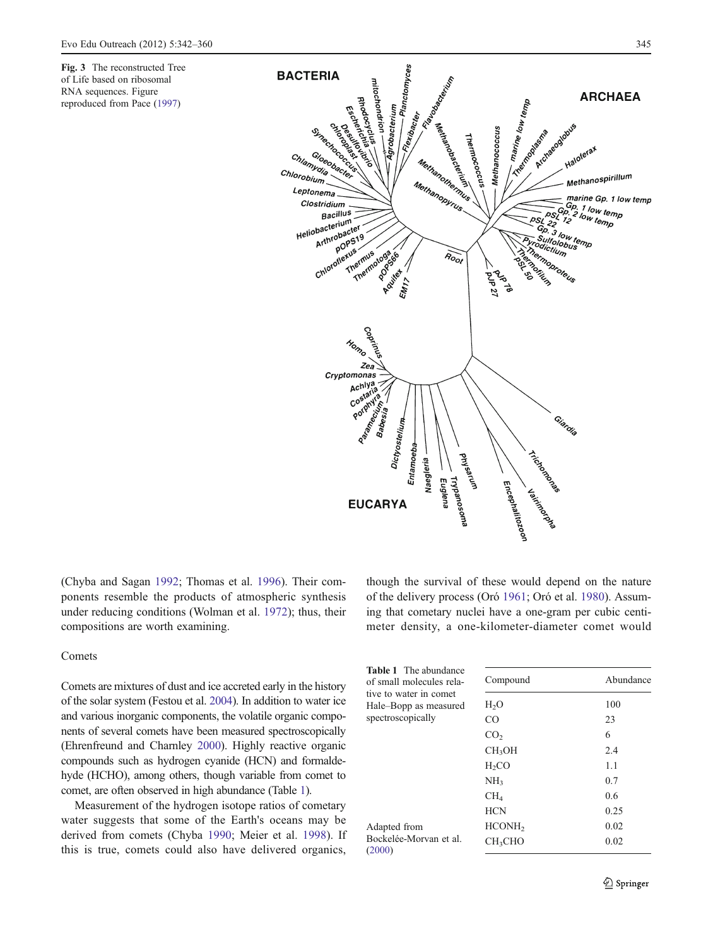<span id="page-3-0"></span>Fig. 3 The reconstructed Tree of Life based on ribosomal RNA sequences. Figure reproduced from Pace [\(1997](#page-17-0))



(Chyba and Sagan [1992](#page-15-0); Thomas et al. [1996\)](#page-17-0). Their components resemble the products of atmospheric synthesis under reducing conditions (Wolman et al. [1972](#page-18-0)); thus, their compositions are worth examining.

## Comets

Comets are mixtures of dust and ice accreted early in the history of the solar system (Festou et al. [2004](#page-15-0)). In addition to water ice and various inorganic components, the volatile organic components of several comets have been measured spectroscopically (Ehrenfreund and Charnley [2000](#page-15-0)). Highly reactive organic compounds such as hydrogen cyanide (HCN) and formaldehyde (HCHO), among others, though variable from comet to comet, are often observed in high abundance (Table 1).

Measurement of the hydrogen isotope ratios of cometary water suggests that some of the Earth's oceans may be derived from comets (Chyba [1990](#page-15-0); Meier et al. [1998\)](#page-16-0). If this is true, comets could also have delivered organics,

though the survival of these would depend on the nature of the delivery process (Oró [1961;](#page-17-0) Oró et al. [1980](#page-17-0)). Assuming that cometary nuclei have a one-gram per cubic centimeter density, a one-kilometer-diameter comet would

| <b>Table 1</b> The abundance<br>of small molecules rela-             | Compound            | Abundance |
|----------------------------------------------------------------------|---------------------|-----------|
| tive to water in comet<br>Hale-Bopp as measured<br>spectroscopically | $H_2O$              | 100       |
|                                                                      | CO                  | 23        |
|                                                                      | CO <sub>2</sub>     | 6         |
|                                                                      | CH <sub>3</sub> OH  | 2.4       |
|                                                                      | H <sub>2</sub> CO   | 1.1       |
|                                                                      | NH <sub>3</sub>     | 0.7       |
|                                                                      | CH <sub>4</sub>     | 0.6       |
|                                                                      | <b>HCN</b>          | 0.25      |
| Adapted from                                                         | HCONH <sub>2</sub>  | 0.02      |
| Bockelée-Morvan et al.<br>(2000)                                     | CH <sub>3</sub> CHO | 0.02      |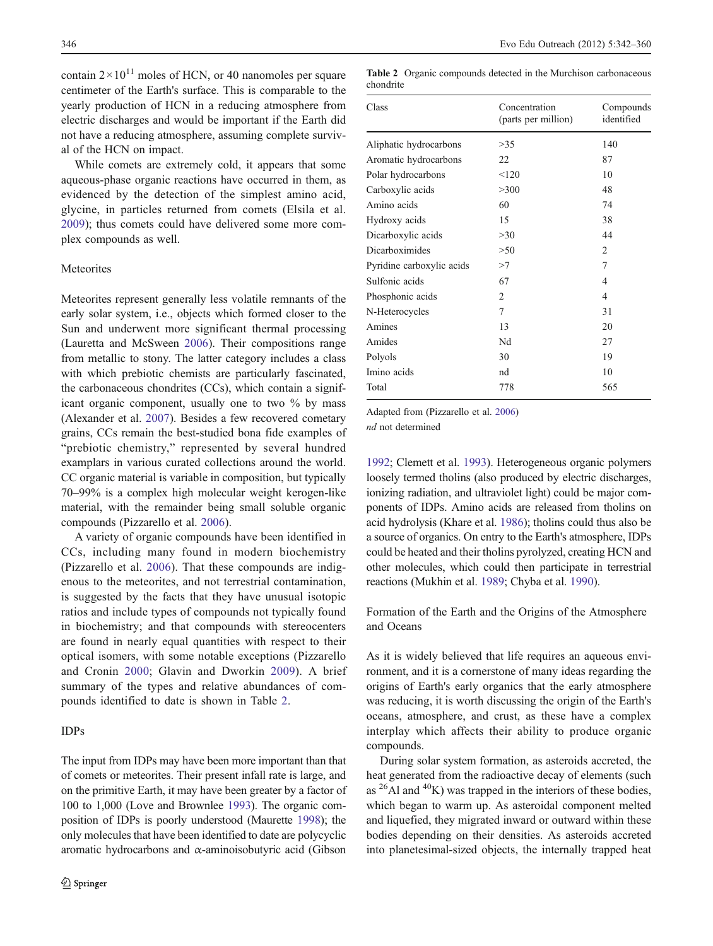<span id="page-4-0"></span>contain  $2 \times 10^{11}$  moles of HCN, or 40 nanomoles per square centimeter of the Earth's surface. This is comparable to the yearly production of HCN in a reducing atmosphere from electric discharges and would be important if the Earth did not have a reducing atmosphere, assuming complete survival of the HCN on impact.

While comets are extremely cold, it appears that some aqueous-phase organic reactions have occurred in them, as evidenced by the detection of the simplest amino acid, glycine, in particles returned from comets (Elsila et al. [2009\)](#page-15-0); thus comets could have delivered some more complex compounds as well.

# **Meteorites**

Meteorites represent generally less volatile remnants of the early solar system, i.e., objects which formed closer to the Sun and underwent more significant thermal processing (Lauretta and McSween [2006](#page-16-0)). Their compositions range from metallic to stony. The latter category includes a class with which prebiotic chemists are particularly fascinated, the carbonaceous chondrites (CCs), which contain a significant organic component, usually one to two % by mass (Alexander et al. [2007\)](#page-14-0). Besides a few recovered cometary grains, CCs remain the best-studied bona fide examples of "prebiotic chemistry," represented by several hundred examplars in various curated collections around the world. CC organic material is variable in composition, but typically 70–99% is a complex high molecular weight kerogen-like material, with the remainder being small soluble organic compounds (Pizzarello et al. [2006\)](#page-17-0).

A variety of organic compounds have been identified in CCs, including many found in modern biochemistry (Pizzarello et al. [2006\)](#page-17-0). That these compounds are indigenous to the meteorites, and not terrestrial contamination, is suggested by the facts that they have unusual isotopic ratios and include types of compounds not typically found in biochemistry; and that compounds with stereocenters are found in nearly equal quantities with respect to their optical isomers, with some notable exceptions (Pizzarello and Cronin [2000;](#page-17-0) Glavin and Dworkin [2009\)](#page-16-0). A brief summary of the types and relative abundances of compounds identified to date is shown in Table 2.

## IDPs

The input from IDPs may have been more important than that of comets or meteorites. Their present infall rate is large, and on the primitive Earth, it may have been greater by a factor of 100 to 1,000 (Love and Brownlee [1993\)](#page-16-0). The organic composition of IDPs is poorly understood (Maurette [1998\)](#page-16-0); the only molecules that have been identified to date are polycyclic aromatic hydrocarbons and α-aminoisobutyric acid (Gibson

Table 2 Organic compounds detected in the Murchison carbonaceous chondrite

| Class                     | Concentration<br>(parts per million) | Compounds<br>identified |
|---------------------------|--------------------------------------|-------------------------|
| Aliphatic hydrocarbons    | >35                                  | 140                     |
| Aromatic hydrocarbons     | 22                                   | 87                      |
| Polar hydrocarbons        | < 120                                | 10                      |
| Carboxylic acids          | >300                                 | 48                      |
| Amino acids               | 60                                   | 74                      |
| Hydroxy acids             | 15                                   | 38                      |
| Dicarboxylic acids        | >30                                  | 44                      |
| Dicarboximides            | >50                                  | $\overline{c}$          |
| Pyridine carboxylic acids | >7                                   | 7                       |
| Sulfonic acids            | 67                                   | $\overline{4}$          |
| Phosphonic acids          | 2                                    | $\overline{4}$          |
| N-Heterocycles            | 7                                    | 31                      |
| Amines                    | 13                                   | 20                      |
| Amides                    | Nd                                   | 27                      |
| Polyols                   | 30                                   | 19                      |
| Imino acids               | nd                                   | 10                      |
| Total                     | 778                                  | 565                     |

Adapted from (Pizzarello et al. [2006\)](#page-17-0)

nd not determined

[1992;](#page-15-0) Clemett et al. [1993\)](#page-15-0). Heterogeneous organic polymers loosely termed tholins (also produced by electric discharges, ionizing radiation, and ultraviolet light) could be major components of IDPs. Amino acids are released from tholins on acid hydrolysis (Khare et al. [1986](#page-16-0)); tholins could thus also be a source of organics. On entry to the Earth's atmosphere, IDPs could be heated and their tholins pyrolyzed, creating HCN and other molecules, which could then participate in terrestrial reactions (Mukhin et al. [1989](#page-17-0); Chyba et al. [1990\)](#page-15-0).

Formation of the Earth and the Origins of the Atmosphere and Oceans

As it is widely believed that life requires an aqueous environment, and it is a cornerstone of many ideas regarding the origins of Earth's early organics that the early atmosphere was reducing, it is worth discussing the origin of the Earth's oceans, atmosphere, and crust, as these have a complex interplay which affects their ability to produce organic compounds.

During solar system formation, as asteroids accreted, the heat generated from the radioactive decay of elements (such as  $^{26}$ Al and  $^{40}$ K) was trapped in the interiors of these bodies, which began to warm up. As asteroidal component melted and liquefied, they migrated inward or outward within these bodies depending on their densities. As asteroids accreted into planetesimal-sized objects, the internally trapped heat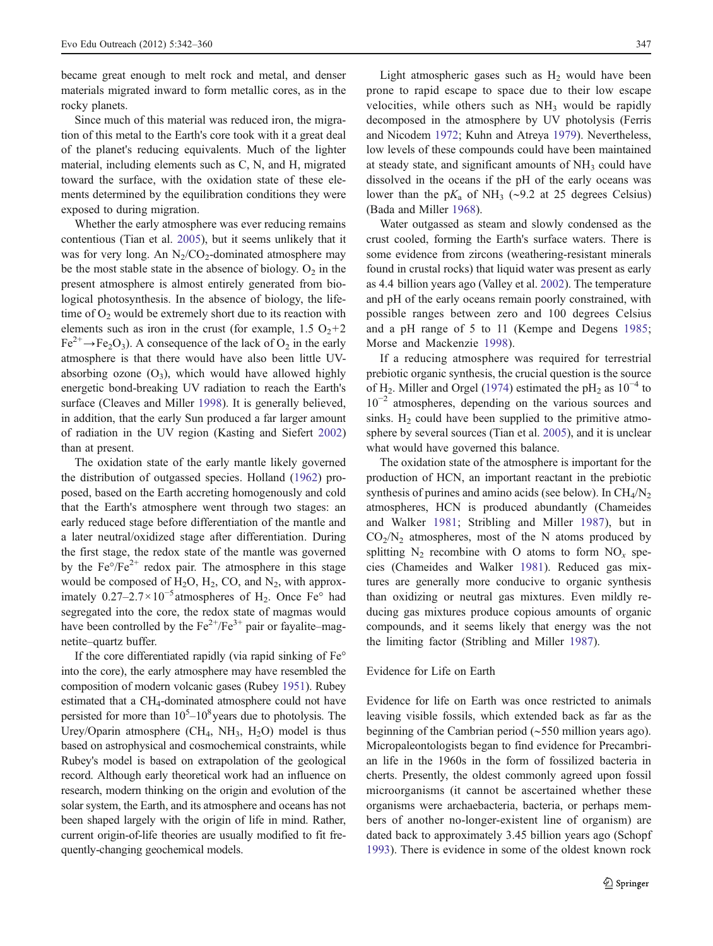became great enough to melt rock and metal, and denser materials migrated inward to form metallic cores, as in the rocky planets.

Since much of this material was reduced iron, the migration of this metal to the Earth's core took with it a great deal of the planet's reducing equivalents. Much of the lighter material, including elements such as C, N, and H, migrated toward the surface, with the oxidation state of these elements determined by the equilibration conditions they were exposed to during migration.

Whether the early atmosphere was ever reducing remains contentious (Tian et al. [2005\)](#page-17-0), but it seems unlikely that it was for very long. An  $N_2/CO_2$ -dominated atmosphere may be the most stable state in the absence of biology.  $O_2$  in the present atmosphere is almost entirely generated from biological photosynthesis. In the absence of biology, the lifetime of  $O<sub>2</sub>$  would be extremely short due to its reaction with elements such as iron in the crust (for example,  $1.5 \text{ O}_2 + 2$  $Fe^{2+} \rightarrow Fe_2O_3$ ). A consequence of the lack of  $O_2$  in the early atmosphere is that there would have also been little UVabsorbing ozone  $(O_3)$ , which would have allowed highly energetic bond-breaking UV radiation to reach the Earth's surface (Cleaves and Miller [1998](#page-15-0)). It is generally believed, in addition, that the early Sun produced a far larger amount of radiation in the UV region (Kasting and Siefert [2002\)](#page-16-0) than at present.

The oxidation state of the early mantle likely governed the distribution of outgassed species. Holland ([1962\)](#page-16-0) proposed, based on the Earth accreting homogenously and cold that the Earth's atmosphere went through two stages: an early reduced stage before differentiation of the mantle and a later neutral/oxidized stage after differentiation. During the first stage, the redox state of the mantle was governed by the Fe $^{\circ}$ /Fe $^{2+}$  redox pair. The atmosphere in this stage would be composed of  $H_2O$ ,  $H_2$ , CO, and  $N_2$ , with approximately  $0.27-2.7 \times 10^{-5}$  atmospheres of H<sub>2</sub>. Once Fe° had segregated into the core, the redox state of magmas would have been controlled by the  $Fe^{2+}/Fe^{3+}$  pair or fayalite–magnetite–quartz buffer.

If the core differentiated rapidly (via rapid sinking of  $Fe<sup>o</sup>$ into the core), the early atmosphere may have resembled the composition of modern volcanic gases (Rubey [1951](#page-17-0)). Rubey estimated that a CH<sub>4</sub>-dominated atmosphere could not have persisted for more than  $10^5 - 10^8$  years due to photolysis. The Urey/Oparin atmosphere  $(CH_4, NH_3, H_2O)$  model is thus based on astrophysical and cosmochemical constraints, while Rubey's model is based on extrapolation of the geological record. Although early theoretical work had an influence on research, modern thinking on the origin and evolution of the solar system, the Earth, and its atmosphere and oceans has not been shaped largely with the origin of life in mind. Rather, current origin-of-life theories are usually modified to fit frequently-changing geochemical models.

Light atmospheric gases such as  $H<sub>2</sub>$  would have been prone to rapid escape to space due to their low escape velocities, while others such as  $NH<sub>3</sub>$  would be rapidly decomposed in the atmosphere by UV photolysis (Ferris and Nicodem [1972](#page-15-0); Kuhn and Atreya [1979\)](#page-16-0). Nevertheless, low levels of these compounds could have been maintained at steady state, and significant amounts of  $NH<sub>3</sub>$  could have dissolved in the oceans if the pH of the early oceans was lower than the pK<sub>a</sub> of NH<sub>3</sub> (∼9.2 at 25 degrees Celsius) (Bada and Miller [1968\)](#page-15-0).

Water outgassed as steam and slowly condensed as the crust cooled, forming the Earth's surface waters. There is some evidence from zircons (weathering-resistant minerals found in crustal rocks) that liquid water was present as early as 4.4 billion years ago (Valley et al. [2002\)](#page-18-0). The temperature and pH of the early oceans remain poorly constrained, with possible ranges between zero and 100 degrees Celsius and a pH range of 5 to 11 (Kempe and Degens [1985;](#page-16-0) Morse and Mackenzie [1998\)](#page-17-0).

If a reducing atmosphere was required for terrestrial prebiotic organic synthesis, the crucial question is the source of H<sub>2</sub>. Miller and Orgel ([1974](#page-16-0)) estimated the pH<sub>2</sub> as 10<sup>-4</sup> to 10−<sup>2</sup> atmospheres, depending on the various sources and sinks.  $H<sub>2</sub>$  could have been supplied to the primitive atmosphere by several sources (Tian et al. [2005\)](#page-17-0), and it is unclear what would have governed this balance.

The oxidation state of the atmosphere is important for the production of HCN, an important reactant in the prebiotic synthesis of purines and amino acids (see below). In CH<sub>4</sub>/N<sub>2</sub> atmospheres, HCN is produced abundantly (Chameides and Walker [1981](#page-15-0); Stribling and Miller [1987](#page-17-0)), but in  $CO<sub>2</sub>/N<sub>2</sub>$  atmospheres, most of the N atoms produced by splitting  $N_2$  recombine with O atoms to form  $NO_x$  species (Chameides and Walker [1981\)](#page-15-0). Reduced gas mixtures are generally more conducive to organic synthesis than oxidizing or neutral gas mixtures. Even mildly reducing gas mixtures produce copious amounts of organic compounds, and it seems likely that energy was the not the limiting factor (Stribling and Miller [1987\)](#page-17-0).

## Evidence for Life on Earth

Evidence for life on Earth was once restricted to animals leaving visible fossils, which extended back as far as the beginning of the Cambrian period (∼550 million years ago). Micropaleontologists began to find evidence for Precambrian life in the 1960s in the form of fossilized bacteria in cherts. Presently, the oldest commonly agreed upon fossil microorganisms (it cannot be ascertained whether these organisms were archaebacteria, bacteria, or perhaps members of another no-longer-existent line of organism) are dated back to approximately 3.45 billion years ago (Schopf [1993](#page-17-0)). There is evidence in some of the oldest known rock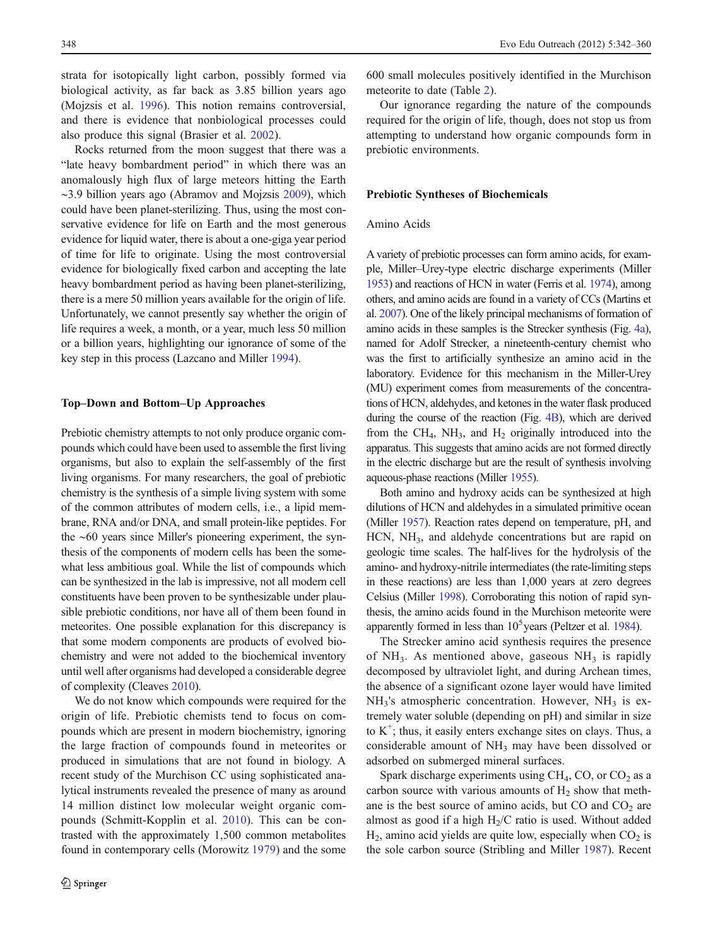strata for isotopically light carbon, possibly formed via biological activity, as far back as 3.85 billion years ago (Mojzsis et al. [1996](#page-17-0)). This notion remains controversial, and there is evidence that nonbiological processes could also produce this signal (Brasier et al. [2002](#page-15-0)).

Rocks returned from the moon suggest that there was a "late heavy bombardment period" in which there was an anomalously high flux of large meteors hitting the Earth ∼3.9 billion years ago (Abramov and Mojzsis [2009](#page-14-0)), which could have been planet-sterilizing. Thus, using the most conservative evidence for life on Earth and the most generous evidence for liquid water, there is about a one-giga year period of time for life to originate. Using the most controversial evidence for biologically fixed carbon and accepting the late heavy bombardment period as having been planet-sterilizing, there is a mere 50 million years available for the origin of life. Unfortunately, we cannot presently say whether the origin of life requires a week, a month, or a year, much less 50 million or a billion years, highlighting our ignorance of some of the key step in this process (Lazcano and Miller [1994\)](#page-16-0).

# Top–Down and Bottom–Up Approaches

Prebiotic chemistry attempts to not only produce organic compounds which could have been used to assemble the first living organisms, but also to explain the self-assembly of the first living organisms. For many researchers, the goal of prebiotic chemistry is the synthesis of a simple living system with some of the common attributes of modern cells, i.e., a lipid membrane, RNA and/or DNA, and small protein-like peptides. For the ∼60 years since Miller's pioneering experiment, the synthesis of the components of modern cells has been the somewhat less ambitious goal. While the list of compounds which can be synthesized in the lab is impressive, not all modern cell constituents have been proven to be synthesizable under plausible prebiotic conditions, nor have all of them been found in meteorites. One possible explanation for this discrepancy is that some modern components are products of evolved biochemistry and were not added to the biochemical inventory until well after organisms had developed a considerable degree of complexity (Cleaves [2010\)](#page-15-0).

We do not know which compounds were required for the origin of life. Prebiotic chemists tend to focus on compounds which are present in modern biochemistry, ignoring the large fraction of compounds found in meteorites or produced in simulations that are not found in biology. A recent study of the Murchison CC using sophisticated analytical instruments revealed the presence of many as around 14 million distinct low molecular weight organic compounds (Schmitt-Kopplin et al. [2010](#page-17-0)). This can be contrasted with the approximately 1,500 common metabolites found in contemporary cells (Morowitz [1979\)](#page-17-0) and the some

600 small molecules positively identified in the Murchison meteorite to date (Table [2](#page-4-0)).

Our ignorance regarding the nature of the compounds required for the origin of life, though, does not stop us from attempting to understand how organic compounds form in prebiotic environments.

## Prebiotic Syntheses of Biochemicals

#### Amino Acids

A variety of prebiotic processes can form amino acids, for example, Miller–Urey-type electric discharge experiments (Miller [1953\)](#page-16-0) and reactions of HCN in water (Ferris et al. [1974\)](#page-15-0), among others, and amino acids are found in a variety of CCs (Martins et al. [2007\)](#page-16-0). One of the likely principal mechanisms of formation of amino acids in these samples is the Strecker synthesis (Fig. [4a\)](#page-7-0), named for Adolf Strecker, a nineteenth-century chemist who was the first to artificially synthesize an amino acid in the laboratory. Evidence for this mechanism in the Miller-Urey (MU) experiment comes from measurements of the concentrations of HCN, aldehydes, and ketones in the water flask produced during the course of the reaction (Fig. [4B\)](#page-7-0), which are derived from the  $CH_4$ ,  $NH_3$ , and  $H_2$  originally introduced into the apparatus. This suggests that amino acids are not formed directly in the electric discharge but are the result of synthesis involving aqueous-phase reactions (Miller [1955\)](#page-16-0).

Both amino and hydroxy acids can be synthesized at high dilutions of HCN and aldehydes in a simulated primitive ocean (Miller [1957\)](#page-16-0). Reaction rates depend on temperature, pH, and HCN, NH<sub>3</sub>, and aldehyde concentrations but are rapid on geologic time scales. The half-lives for the hydrolysis of the amino- and hydroxy-nitrile intermediates (the rate-limiting steps in these reactions) are less than 1,000 years at zero degrees Celsius (Miller [1998\)](#page-16-0). Corroborating this notion of rapid synthesis, the amino acids found in the Murchison meteorite were apparently formed in less than  $10<sup>5</sup>$  years (Peltzer et al. [1984](#page-17-0)).

The Strecker amino acid synthesis requires the presence of  $NH_3$ . As mentioned above, gaseous  $NH_3$  is rapidly decomposed by ultraviolet light, and during Archean times, the absence of a significant ozone layer would have limited  $NH<sub>3</sub>$ 's atmospheric concentration. However,  $NH<sub>3</sub>$  is extremely water soluble (depending on pH) and similar in size to  $K^+$ ; thus, it easily enters exchange sites on clays. Thus, a considerable amount of  $NH_3$  may have been dissolved or adsorbed on submerged mineral surfaces.

Spark discharge experiments using CH<sub>4</sub>, CO, or CO<sub>2</sub> as a carbon source with various amounts of  $H<sub>2</sub>$  show that methane is the best source of amino acids, but  $CO$  and  $CO<sub>2</sub>$  are almost as good if a high  $H_2/C$  ratio is used. Without added  $H_2$ , amino acid yields are quite low, especially when  $CO_2$  is the sole carbon source (Stribling and Miller [1987\)](#page-17-0). Recent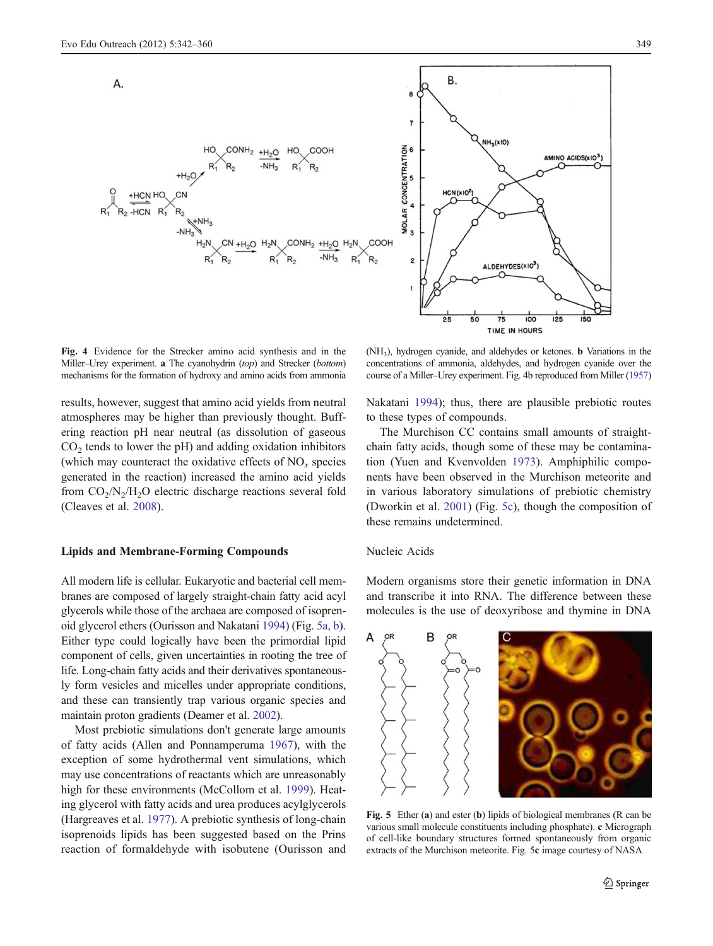<span id="page-7-0"></span>

Fig. 4 Evidence for the Strecker amino acid synthesis and in the Miller–Urey experiment. **a** The cyanohydrin (top) and Strecker (bottom) mechanisms for the formation of hydroxy and amino acids from ammonia

results, however, suggest that amino acid yields from neutral atmospheres may be higher than previously thought. Buffering reaction pH near neutral (as dissolution of gaseous  $CO<sub>2</sub>$  tends to lower the pH) and adding oxidation inhibitors (which may counteract the oxidative effects of  $NO<sub>x</sub>$  species generated in the reaction) increased the amino acid yields from  $CO<sub>2</sub>/N<sub>2</sub>/H<sub>2</sub>O$  electric discharge reactions several fold (Cleaves et al. [2008](#page-15-0)).

#### Lipids and Membrane-Forming Compounds

All modern life is cellular. Eukaryotic and bacterial cell membranes are composed of largely straight-chain fatty acid acyl glycerols while those of the archaea are composed of isoprenoid glycerol ethers (Ourisson and Nakatani [1994\)](#page-17-0) (Fig. 5a, b). Either type could logically have been the primordial lipid component of cells, given uncertainties in rooting the tree of life. Long-chain fatty acids and their derivatives spontaneously form vesicles and micelles under appropriate conditions, and these can transiently trap various organic species and maintain proton gradients (Deamer et al. [2002\)](#page-15-0).

Most prebiotic simulations don't generate large amounts of fatty acids (Allen and Ponnamperuma [1967](#page-14-0)), with the exception of some hydrothermal vent simulations, which may use concentrations of reactants which are unreasonably high for these environments (McCollom et al. [1999\)](#page-16-0). Heating glycerol with fatty acids and urea produces acylglycerols (Hargreaves et al. [1977\)](#page-16-0). A prebiotic synthesis of long-chain isoprenoids lipids has been suggested based on the Prins reaction of formaldehyde with isobutene (Ourisson and

(NH3), hydrogen cyanide, and aldehydes or ketones. b Variations in the concentrations of ammonia, aldehydes, and hydrogen cyanide over the course of a Miller–Urey experiment. Fig. 4b reproduced from Miller [\(1957\)](#page-16-0)

Nakatani [1994](#page-17-0)); thus, there are plausible prebiotic routes to these types of compounds.

The Murchison CC contains small amounts of straightchain fatty acids, though some of these may be contamination (Yuen and Kvenvolden [1973\)](#page-18-0). Amphiphilic components have been observed in the Murchison meteorite and in various laboratory simulations of prebiotic chemistry (Dworkin et al. [2001\)](#page-15-0) (Fig. 5c), though the composition of these remains undetermined.

# Nucleic Acids

Modern organisms store their genetic information in DNA and transcribe it into RNA. The difference between these molecules is the use of deoxyribose and thymine in DNA



Fig. 5 Ether (a) and ester (b) lipids of biological membranes (R can be various small molecule constituents including phosphate). c Micrograph of cell-like boundary structures formed spontaneously from organic extracts of the Murchison meteorite. Fig. 5c image courtesy of NASA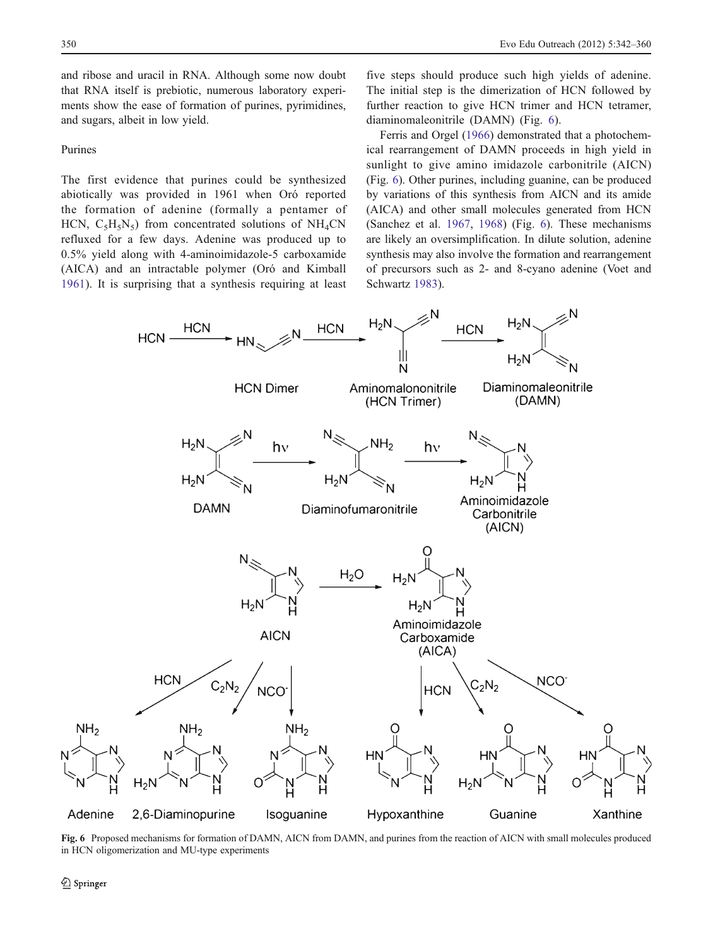and ribose and uracil in RNA. Although some now doubt that RNA itself is prebiotic, numerous laboratory experiments show the ease of formation of purines, pyrimidines, and sugars, albeit in low yield.

# Purines

The first evidence that purines could be synthesized abiotically was provided in 1961 when Oró reported the formation of adenine (formally a pentamer of HCN,  $C_5H_5N_5$ ) from concentrated solutions of NH<sub>4</sub>CN refluxed for a few days. Adenine was produced up to 0.5% yield along with 4-aminoimidazole-5 carboxamide (AICA) and an intractable polymer (Oró and Kimball [1961](#page-17-0)). It is surprising that a synthesis requiring at least

five steps should produce such high yields of adenine. The initial step is the dimerization of HCN followed by further reaction to give HCN trimer and HCN tetramer, diaminomaleonitrile (DAMN) (Fig. 6).

Ferris and Orgel [\(1966](#page-15-0)) demonstrated that a photochemical rearrangement of DAMN proceeds in high yield in sunlight to give amino imidazole carbonitrile (AICN) (Fig. 6). Other purines, including guanine, can be produced by variations of this synthesis from AICN and its amide (AICA) and other small molecules generated from HCN (Sanchez et al. [1967,](#page-17-0) [1968](#page-17-0)) (Fig. 6). These mechanisms are likely an oversimplification. In dilute solution, adenine synthesis may also involve the formation and rearrangement of precursors such as 2- and 8-cyano adenine (Voet and Schwartz [1983\)](#page-18-0).



Fig. 6 Proposed mechanisms for formation of DAMN, AICN from DAMN, and purines from the reaction of AICN with small molecules produced in HCN oligomerization and MU-type experiments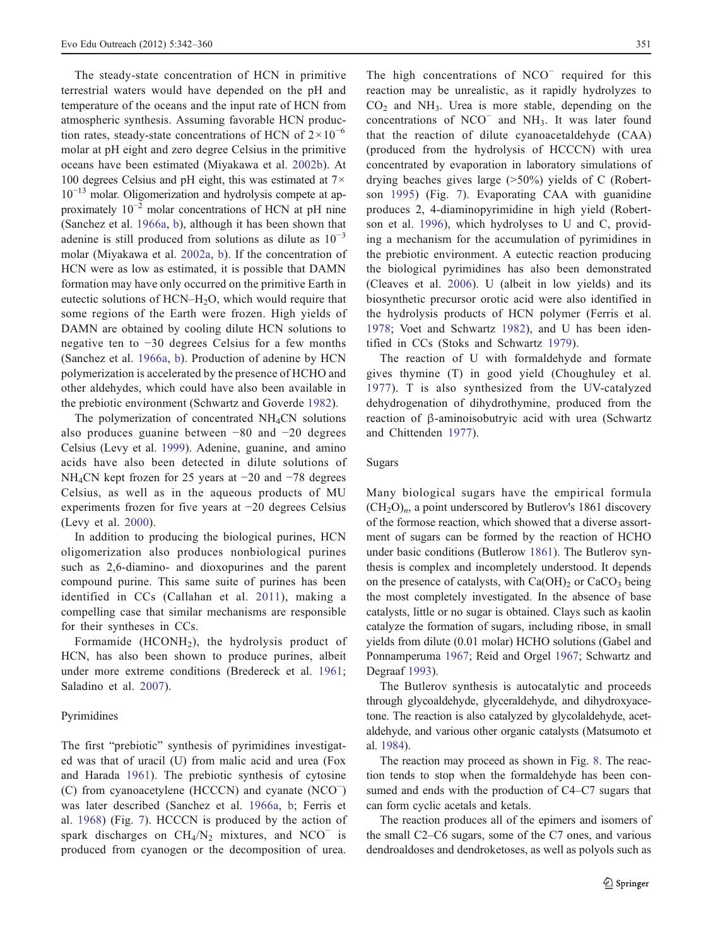The steady-state concentration of HCN in primitive terrestrial waters would have depended on the pH and temperature of the oceans and the input rate of HCN from atmospheric synthesis. Assuming favorable HCN production rates, steady-state concentrations of HCN of  $2 \times 10^{-6}$ molar at pH eight and zero degree Celsius in the primitive oceans have been estimated (Miyakawa et al. [2002b\)](#page-16-0). At 100 degrees Celsius and pH eight, this was estimated at  $7\times$ 10−<sup>13</sup> molar. Oligomerization and hydrolysis compete at approximately  $10^{-2}$  molar concentrations of HCN at pH nine (Sanchez et al. [1966a](#page-17-0), [b\)](#page-17-0), although it has been shown that adenine is still produced from solutions as dilute as  $10^{-3}$ molar (Miyakawa et al. [2002a](#page-16-0), [b](#page-16-0)). If the concentration of HCN were as low as estimated, it is possible that DAMN formation may have only occurred on the primitive Earth in eutectic solutions of  $HCN-H<sub>2</sub>O$ , which would require that some regions of the Earth were frozen. High yields of DAMN are obtained by cooling dilute HCN solutions to negative ten to −30 degrees Celsius for a few months (Sanchez et al. [1966a,](#page-17-0) [b\)](#page-17-0). Production of adenine by HCN polymerization is accelerated by the presence of HCHO and other aldehydes, which could have also been available in the prebiotic environment (Schwartz and Goverde [1982](#page-17-0)).

The polymerization of concentrated NH4CN solutions also produces guanine between −80 and −20 degrees Celsius (Levy et al. [1999\)](#page-16-0). Adenine, guanine, and amino acids have also been detected in dilute solutions of NH<sub>4</sub>CN kept frozen for 25 years at −20 and −78 degrees Celsius, as well as in the aqueous products of MU experiments frozen for five years at −20 degrees Celsius (Levy et al. [2000\)](#page-16-0).

In addition to producing the biological purines, HCN oligomerization also produces nonbiological purines such as 2,6-diamino- and dioxopurines and the parent compound purine. This same suite of purines has been identified in CCs (Callahan et al. [2011\)](#page-15-0), making a compelling case that similar mechanisms are responsible for their syntheses in CCs.

Formamide (HCONH2), the hydrolysis product of HCN, has also been shown to produce purines, albeit under more extreme conditions (Bredereck et al. [1961](#page-15-0); Saladino et al. [2007](#page-17-0)).

## Pyrimidines

The first "prebiotic" synthesis of pyrimidines investigated was that of uracil (U) from malic acid and urea (Fox and Harada [1961\)](#page-15-0). The prebiotic synthesis of cytosine (C) from cyanoacetylene (HCCCN) and cyanate (NCO<sup>−</sup> ) was later described (Sanchez et al. [1966a,](#page-17-0) [b;](#page-17-0) Ferris et al. [1968](#page-15-0)) (Fig. [7\)](#page-10-0). HCCCN is produced by the action of spark discharges on  $CH_4/N_2$  mixtures, and NCO<sup>−</sup> is produced from cyanogen or the decomposition of urea.

The high concentrations of NCO<sup>−</sup> required for this reaction may be unrealistic, as it rapidly hydrolyzes to  $CO<sub>2</sub>$  and NH<sub>3</sub>. Urea is more stable, depending on the concentrations of NCO<sup>−</sup> and NH3. It was later found that the reaction of dilute cyanoacetaldehyde (CAA) (produced from the hydrolysis of HCCCN) with urea concentrated by evaporation in laboratory simulations of drying beaches gives large (>50%) yields of C (Robertson [1995\)](#page-17-0) (Fig. [7](#page-10-0)). Evaporating CAA with guanidine produces 2, 4-diaminopyrimidine in high yield (Robertson et al. [1996\)](#page-17-0), which hydrolyses to U and C, providing a mechanism for the accumulation of pyrimidines in the prebiotic environment. A eutectic reaction producing the biological pyrimidines has also been demonstrated (Cleaves et al. [2006](#page-15-0)). U (albeit in low yields) and its biosynthetic precursor orotic acid were also identified in the hydrolysis products of HCN polymer (Ferris et al. [1978](#page-15-0); Voet and Schwartz [1982](#page-18-0)), and U has been identified in CCs (Stoks and Schwartz [1979](#page-17-0)).

The reaction of U with formaldehyde and formate gives thymine (T) in good yield (Choughuley et al. [1977](#page-15-0)). T is also synthesized from the UV-catalyzed dehydrogenation of dihydrothymine, produced from the reaction of β-aminoisobutryic acid with urea (Schwartz and Chittenden [1977\)](#page-17-0).

#### Sugars

Many biological sugars have the empirical formula  $(CH<sub>2</sub>O)<sub>n</sub>$ , a point underscored by Butlerov's 1861 discovery of the formose reaction, which showed that a diverse assortment of sugars can be formed by the reaction of HCHO under basic conditions (Butlerow [1861](#page-15-0)). The Butlerov synthesis is complex and incompletely understood. It depends on the presence of catalysts, with  $Ca(OH)_2$  or  $CaCO_3$  being the most completely investigated. In the absence of base catalysts, little or no sugar is obtained. Clays such as kaolin catalyze the formation of sugars, including ribose, in small yields from dilute (0.01 molar) HCHO solutions (Gabel and Ponnamperuma [1967;](#page-15-0) Reid and Orgel [1967;](#page-17-0) Schwartz and Degraaf [1993\)](#page-17-0).

The Butlerov synthesis is autocatalytic and proceeds through glycoaldehyde, glyceraldehyde, and dihydroxyacetone. The reaction is also catalyzed by glycolaldehyde, acetaldehyde, and various other organic catalysts (Matsumoto et al. [1984\)](#page-16-0).

The reaction may proceed as shown in Fig. [8.](#page-10-0) The reaction tends to stop when the formaldehyde has been consumed and ends with the production of C4–C7 sugars that can form cyclic acetals and ketals.

The reaction produces all of the epimers and isomers of the small C2–C6 sugars, some of the C7 ones, and various dendroaldoses and dendroketoses, as well as polyols such as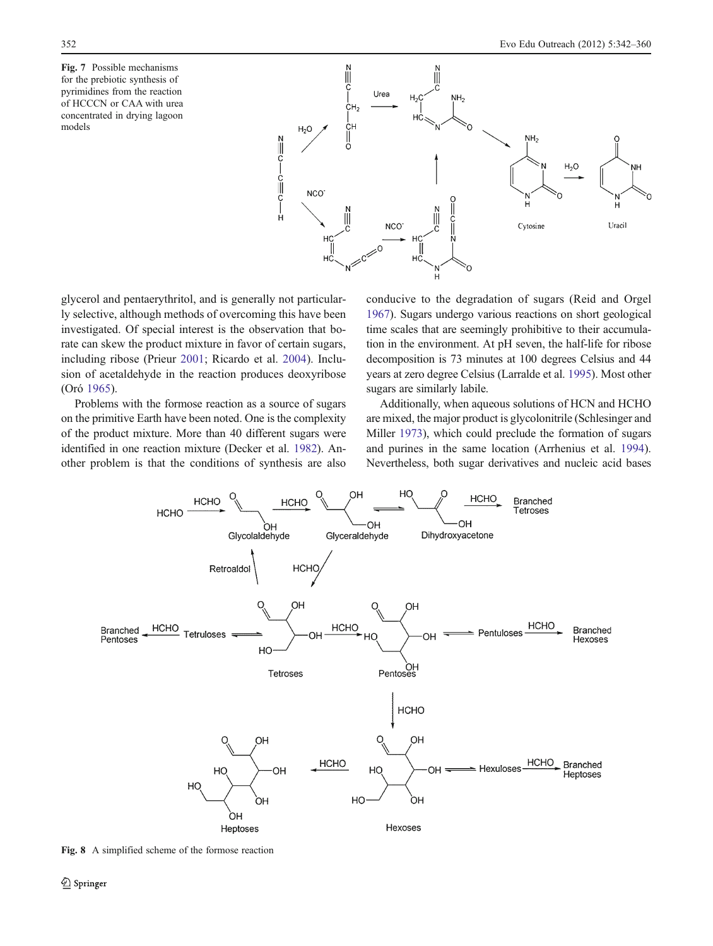<span id="page-10-0"></span>Fig. 7 Possible mechanisms for the prebiotic synthesis of pyrimidines from the reaction of HCCCN or CAA with urea concentrated in drying lagoon models



glycerol and pentaerythritol, and is generally not particularly selective, although methods of overcoming this have been investigated. Of special interest is the observation that borate can skew the product mixture in favor of certain sugars, including ribose (Prieur [2001;](#page-17-0) Ricardo et al. [2004](#page-17-0)). Inclusion of acetaldehyde in the reaction produces deoxyribose (Oró [1965\)](#page-17-0).

Problems with the formose reaction as a source of sugars on the primitive Earth have been noted. One is the complexity of the product mixture. More than 40 different sugars were identified in one reaction mixture (Decker et al. [1982\)](#page-15-0). Another problem is that the conditions of synthesis are also

conducive to the degradation of sugars (Reid and Orgel [1967\)](#page-17-0). Sugars undergo various reactions on short geological time scales that are seemingly prohibitive to their accumulation in the environment. At pH seven, the half-life for ribose decomposition is 73 minutes at 100 degrees Celsius and 44 years at zero degree Celsius (Larralde et al. [1995](#page-16-0)). Most other sugars are similarly labile.

Additionally, when aqueous solutions of HCN and HCHO are mixed, the major product is glycolonitrile (Schlesinger and Miller [1973](#page-17-0)), which could preclude the formation of sugars and purines in the same location (Arrhenius et al. [1994\)](#page-15-0). Nevertheless, both sugar derivatives and nucleic acid bases



Fig. 8 A simplified scheme of the formose reaction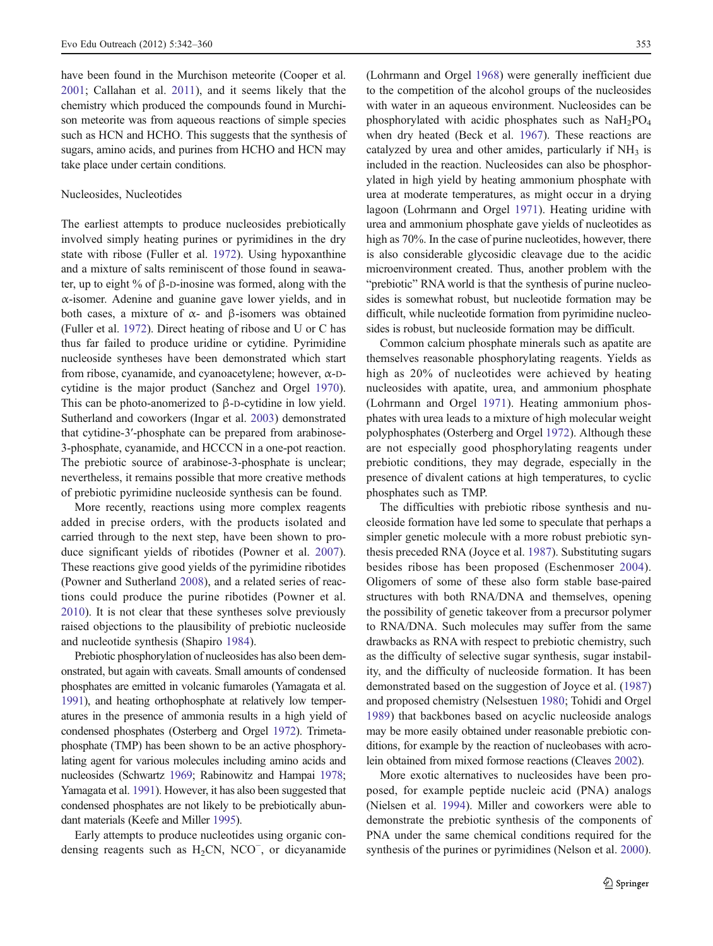have been found in the Murchison meteorite (Cooper et al. [2001](#page-15-0); Callahan et al. [2011](#page-15-0)), and it seems likely that the chemistry which produced the compounds found in Murchison meteorite was from aqueous reactions of simple species such as HCN and HCHO. This suggests that the synthesis of sugars, amino acids, and purines from HCHO and HCN may take place under certain conditions.

# Nucleosides, Nucleotides

The earliest attempts to produce nucleosides prebiotically involved simply heating purines or pyrimidines in the dry state with ribose (Fuller et al. [1972\)](#page-15-0). Using hypoxanthine and a mixture of salts reminiscent of those found in seawater, up to eight % of β-D-inosine was formed, along with the α-isomer. Adenine and guanine gave lower yields, and in both cases, a mixture of α- and β-isomers was obtained (Fuller et al. [1972\)](#page-15-0). Direct heating of ribose and U or C has thus far failed to produce uridine or cytidine. Pyrimidine nucleoside syntheses have been demonstrated which start from ribose, cyanamide, and cyanoacetylene; however, α-Dcytidine is the major product (Sanchez and Orgel [1970](#page-17-0)). This can be photo-anomerized to β-D-cytidine in low yield. Sutherland and coworkers (Ingar et al. [2003](#page-16-0)) demonstrated that cytidine-3′-phosphate can be prepared from arabinose-3-phosphate, cyanamide, and HCCCN in a one-pot reaction. The prebiotic source of arabinose-3-phosphate is unclear; nevertheless, it remains possible that more creative methods of prebiotic pyrimidine nucleoside synthesis can be found.

More recently, reactions using more complex reagents added in precise orders, with the products isolated and carried through to the next step, have been shown to produce significant yields of ribotides (Powner et al. [2007](#page-17-0)). These reactions give good yields of the pyrimidine ribotides (Powner and Sutherland [2008](#page-17-0)), and a related series of reactions could produce the purine ribotides (Powner et al. [2010\)](#page-17-0). It is not clear that these syntheses solve previously raised objections to the plausibility of prebiotic nucleoside and nucleotide synthesis (Shapiro [1984\)](#page-17-0).

Prebiotic phosphorylation of nucleosides has also been demonstrated, but again with caveats. Small amounts of condensed phosphates are emitted in volcanic fumaroles (Yamagata et al. [1991](#page-18-0)), and heating orthophosphate at relatively low temperatures in the presence of ammonia results in a high yield of condensed phosphates (Osterberg and Orgel [1972](#page-17-0)). Trimetaphosphate (TMP) has been shown to be an active phosphorylating agent for various molecules including amino acids and nucleosides (Schwartz [1969;](#page-17-0) Rabinowitz and Hampai [1978](#page-17-0); Yamagata et al. [1991\)](#page-18-0). However, it has also been suggested that condensed phosphates are not likely to be prebiotically abundant materials (Keefe and Miller [1995](#page-16-0)).

Early attempts to produce nucleotides using organic condensing reagents such as  $H_2CN$ , NCO<sup>-</sup>, or dicyanamide

(Lohrmann and Orgel [1968](#page-16-0)) were generally inefficient due to the competition of the alcohol groups of the nucleosides with water in an aqueous environment. Nucleosides can be phosphorylated with acidic phosphates such as NaH2PO4 when dry heated (Beck et al. [1967\)](#page-15-0). These reactions are catalyzed by urea and other amides, particularly if  $NH<sub>3</sub>$  is included in the reaction. Nucleosides can also be phosphorylated in high yield by heating ammonium phosphate with urea at moderate temperatures, as might occur in a drying lagoon (Lohrmann and Orgel [1971\)](#page-16-0). Heating uridine with urea and ammonium phosphate gave yields of nucleotides as high as 70%. In the case of purine nucleotides, however, there is also considerable glycosidic cleavage due to the acidic microenvironment created. Thus, another problem with the "prebiotic" RNA world is that the synthesis of purine nucleosides is somewhat robust, but nucleotide formation may be difficult, while nucleotide formation from pyrimidine nucleosides is robust, but nucleoside formation may be difficult.

Common calcium phosphate minerals such as apatite are themselves reasonable phosphorylating reagents. Yields as high as 20% of nucleotides were achieved by heating nucleosides with apatite, urea, and ammonium phosphate (Lohrmann and Orgel [1971\)](#page-16-0). Heating ammonium phosphates with urea leads to a mixture of high molecular weight polyphosphates (Osterberg and Orgel [1972\)](#page-17-0). Although these are not especially good phosphorylating reagents under prebiotic conditions, they may degrade, especially in the presence of divalent cations at high temperatures, to cyclic phosphates such as TMP.

The difficulties with prebiotic ribose synthesis and nucleoside formation have led some to speculate that perhaps a simpler genetic molecule with a more robust prebiotic synthesis preceded RNA (Joyce et al. [1987\)](#page-16-0). Substituting sugars besides ribose has been proposed (Eschenmoser [2004](#page-15-0)). Oligomers of some of these also form stable base-paired structures with both RNA/DNA and themselves, opening the possibility of genetic takeover from a precursor polymer to RNA/DNA. Such molecules may suffer from the same drawbacks as RNA with respect to prebiotic chemistry, such as the difficulty of selective sugar synthesis, sugar instability, and the difficulty of nucleoside formation. It has been demonstrated based on the suggestion of Joyce et al. [\(1987](#page-16-0)) and proposed chemistry (Nelsestuen [1980;](#page-17-0) Tohidi and Orgel [1989](#page-17-0)) that backbones based on acyclic nucleoside analogs may be more easily obtained under reasonable prebiotic conditions, for example by the reaction of nucleobases with acrolein obtained from mixed formose reactions (Cleaves [2002\)](#page-15-0).

More exotic alternatives to nucleosides have been proposed, for example peptide nucleic acid (PNA) analogs (Nielsen et al. [1994](#page-17-0)). Miller and coworkers were able to demonstrate the prebiotic synthesis of the components of PNA under the same chemical conditions required for the synthesis of the purines or pyrimidines (Nelson et al. [2000\)](#page-17-0).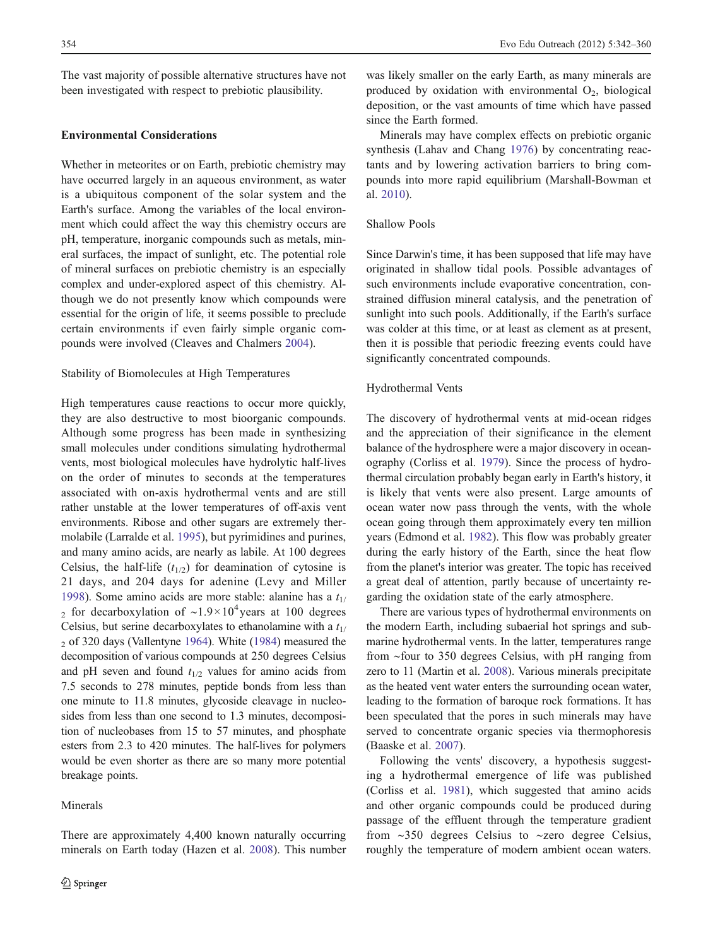The vast majority of possible alternative structures have not been investigated with respect to prebiotic plausibility.

# Environmental Considerations

Whether in meteorites or on Earth, prebiotic chemistry may have occurred largely in an aqueous environment, as water is a ubiquitous component of the solar system and the Earth's surface. Among the variables of the local environment which could affect the way this chemistry occurs are pH, temperature, inorganic compounds such as metals, mineral surfaces, the impact of sunlight, etc. The potential role of mineral surfaces on prebiotic chemistry is an especially complex and under-explored aspect of this chemistry. Although we do not presently know which compounds were essential for the origin of life, it seems possible to preclude certain environments if even fairly simple organic compounds were involved (Cleaves and Chalmers [2004](#page-15-0)).

#### Stability of Biomolecules at High Temperatures

High temperatures cause reactions to occur more quickly, they are also destructive to most bioorganic compounds. Although some progress has been made in synthesizing small molecules under conditions simulating hydrothermal vents, most biological molecules have hydrolytic half-lives on the order of minutes to seconds at the temperatures associated with on-axis hydrothermal vents and are still rather unstable at the lower temperatures of off-axis vent environments. Ribose and other sugars are extremely thermolabile (Larralde et al. [1995](#page-16-0)), but pyrimidines and purines, and many amino acids, are nearly as labile. At 100 degrees Celsius, the half-life  $(t_{1/2})$  for deamination of cytosine is 21 days, and 204 days for adenine (Levy and Miller [1998\)](#page-16-0). Some amino acids are more stable: alanine has a  $t_{1/2}$ 2 for decarboxylation of ~1.9×10<sup>4</sup> years at 100 degrees Celsius, but serine decarboxylates to ethanolamine with a  $t_{1/2}$ <sup>2</sup> of 320 days (Vallentyne [1964\)](#page-18-0). White ([1984](#page-18-0)) measured the decomposition of various compounds at 250 degrees Celsius and pH seven and found  $t_{1/2}$  values for amino acids from 7.5 seconds to 278 minutes, peptide bonds from less than one minute to 11.8 minutes, glycoside cleavage in nucleosides from less than one second to 1.3 minutes, decomposition of nucleobases from 15 to 57 minutes, and phosphate esters from 2.3 to 420 minutes. The half-lives for polymers would be even shorter as there are so many more potential breakage points.

# Minerals

There are approximately 4,400 known naturally occurring minerals on Earth today (Hazen et al. [2008](#page-16-0)). This number

was likely smaller on the early Earth, as many minerals are produced by oxidation with environmental  $O<sub>2</sub>$ , biological deposition, or the vast amounts of time which have passed since the Earth formed.

Minerals may have complex effects on prebiotic organic synthesis (Lahav and Chang [1976](#page-16-0)) by concentrating reactants and by lowering activation barriers to bring compounds into more rapid equilibrium (Marshall-Bowman et al. [2010\)](#page-16-0).

## Shallow Pools

Since Darwin's time, it has been supposed that life may have originated in shallow tidal pools. Possible advantages of such environments include evaporative concentration, constrained diffusion mineral catalysis, and the penetration of sunlight into such pools. Additionally, if the Earth's surface was colder at this time, or at least as clement as at present, then it is possible that periodic freezing events could have significantly concentrated compounds.

#### Hydrothermal Vents

The discovery of hydrothermal vents at mid-ocean ridges and the appreciation of their significance in the element balance of the hydrosphere were a major discovery in oceanography (Corliss et al. [1979\)](#page-15-0). Since the process of hydrothermal circulation probably began early in Earth's history, it is likely that vents were also present. Large amounts of ocean water now pass through the vents, with the whole ocean going through them approximately every ten million years (Edmond et al. [1982](#page-15-0)). This flow was probably greater during the early history of the Earth, since the heat flow from the planet's interior was greater. The topic has received a great deal of attention, partly because of uncertainty regarding the oxidation state of the early atmosphere.

There are various types of hydrothermal environments on the modern Earth, including subaerial hot springs and submarine hydrothermal vents. In the latter, temperatures range from ∼four to 350 degrees Celsius, with pH ranging from zero to 11 (Martin et al. [2008](#page-16-0)). Various minerals precipitate as the heated vent water enters the surrounding ocean water, leading to the formation of baroque rock formations. It has been speculated that the pores in such minerals may have served to concentrate organic species via thermophoresis (Baaske et al. [2007\)](#page-15-0).

Following the vents' discovery, a hypothesis suggesting a hydrothermal emergence of life was published (Corliss et al. [1981](#page-15-0)), which suggested that amino acids and other organic compounds could be produced during passage of the effluent through the temperature gradient from ∼350 degrees Celsius to ∼zero degree Celsius, roughly the temperature of modern ambient ocean waters.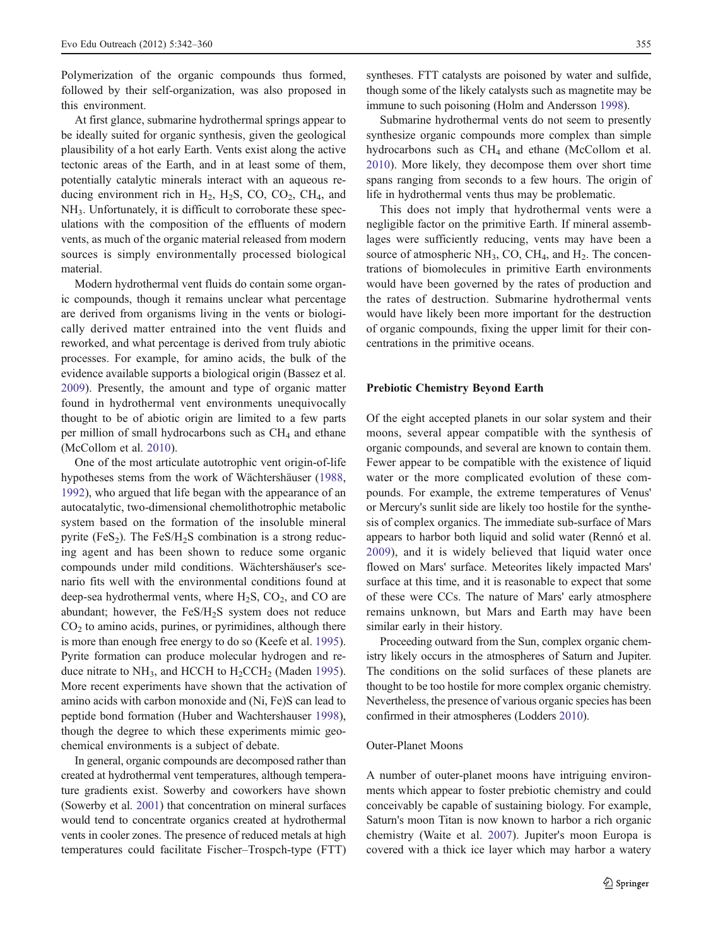Polymerization of the organic compounds thus formed, followed by their self-organization, was also proposed in this environment.

At first glance, submarine hydrothermal springs appear to be ideally suited for organic synthesis, given the geological plausibility of a hot early Earth. Vents exist along the active tectonic areas of the Earth, and in at least some of them, potentially catalytic minerals interact with an aqueous reducing environment rich in  $H_2$ ,  $H_2S$ ,  $CO$ ,  $CO_2$ ,  $CH_4$ , and NH3. Unfortunately, it is difficult to corroborate these speculations with the composition of the effluents of modern vents, as much of the organic material released from modern sources is simply environmentally processed biological material.

Modern hydrothermal vent fluids do contain some organic compounds, though it remains unclear what percentage are derived from organisms living in the vents or biologically derived matter entrained into the vent fluids and reworked, and what percentage is derived from truly abiotic processes. For example, for amino acids, the bulk of the evidence available supports a biological origin (Bassez et al. [2009](#page-15-0)). Presently, the amount and type of organic matter found in hydrothermal vent environments unequivocally thought to be of abiotic origin are limited to a few parts per million of small hydrocarbons such as  $CH<sub>4</sub>$  and ethane (McCollom et al. [2010\)](#page-16-0).

One of the most articulate autotrophic vent origin-of-life hypotheses stems from the work of Wächtershäuser ([1988,](#page-18-0) [1992\)](#page-18-0), who argued that life began with the appearance of an autocatalytic, two-dimensional chemolithotrophic metabolic system based on the formation of the insoluble mineral pyrite (FeS<sub>2</sub>). The FeS/H<sub>2</sub>S combination is a strong reducing agent and has been shown to reduce some organic compounds under mild conditions. Wächtershäuser's scenario fits well with the environmental conditions found at deep-sea hydrothermal vents, where  $H_2S$ ,  $CO_2$ , and  $CO$  are abundant; however, the FeS/H2S system does not reduce  $CO<sub>2</sub>$  to amino acids, purines, or pyrimidines, although there is more than enough free energy to do so (Keefe et al. [1995](#page-16-0)). Pyrite formation can produce molecular hydrogen and reduce nitrate to  $NH_3$ , and HCCH to  $H_2CCH_2$  (Maden [1995](#page-16-0)). More recent experiments have shown that the activation of amino acids with carbon monoxide and (Ni, Fe)S can lead to peptide bond formation (Huber and Wachtershauser [1998](#page-16-0)), though the degree to which these experiments mimic geochemical environments is a subject of debate.

In general, organic compounds are decomposed rather than created at hydrothermal vent temperatures, although temperature gradients exist. Sowerby and coworkers have shown (Sowerby et al. [2001](#page-17-0)) that concentration on mineral surfaces would tend to concentrate organics created at hydrothermal vents in cooler zones. The presence of reduced metals at high temperatures could facilitate Fischer–Trospch-type (FTT) syntheses. FTT catalysts are poisoned by water and sulfide, though some of the likely catalysts such as magnetite may be immune to such poisoning (Holm and Andersson [1998\)](#page-16-0).

Submarine hydrothermal vents do not seem to presently synthesize organic compounds more complex than simple hydrocarbons such as CH<sub>4</sub> and ethane (McCollom et al. [2010](#page-16-0)). More likely, they decompose them over short time spans ranging from seconds to a few hours. The origin of life in hydrothermal vents thus may be problematic.

This does not imply that hydrothermal vents were a negligible factor on the primitive Earth. If mineral assemblages were sufficiently reducing, vents may have been a source of atmospheric  $NH_3$ , CO, CH<sub>4</sub>, and H<sub>2</sub>. The concentrations of biomolecules in primitive Earth environments would have been governed by the rates of production and the rates of destruction. Submarine hydrothermal vents would have likely been more important for the destruction of organic compounds, fixing the upper limit for their concentrations in the primitive oceans.

#### Prebiotic Chemistry Beyond Earth

Of the eight accepted planets in our solar system and their moons, several appear compatible with the synthesis of organic compounds, and several are known to contain them. Fewer appear to be compatible with the existence of liquid water or the more complicated evolution of these compounds. For example, the extreme temperatures of Venus' or Mercury's sunlit side are likely too hostile for the synthesis of complex organics. The immediate sub-surface of Mars appears to harbor both liquid and solid water (Rennó et al. [2009\)](#page-17-0), and it is widely believed that liquid water once flowed on Mars' surface. Meteorites likely impacted Mars' surface at this time, and it is reasonable to expect that some of these were CCs. The nature of Mars' early atmosphere remains unknown, but Mars and Earth may have been similar early in their history.

Proceeding outward from the Sun, complex organic chemistry likely occurs in the atmospheres of Saturn and Jupiter. The conditions on the solid surfaces of these planets are thought to be too hostile for more complex organic chemistry. Nevertheless, the presence of various organic species has been confirmed in their atmospheres (Lodders [2010\)](#page-16-0).

## Outer-Planet Moons

A number of outer-planet moons have intriguing environments which appear to foster prebiotic chemistry and could conceivably be capable of sustaining biology. For example, Saturn's moon Titan is now known to harbor a rich organic chemistry (Waite et al. [2007](#page-18-0)). Jupiter's moon Europa is covered with a thick ice layer which may harbor a watery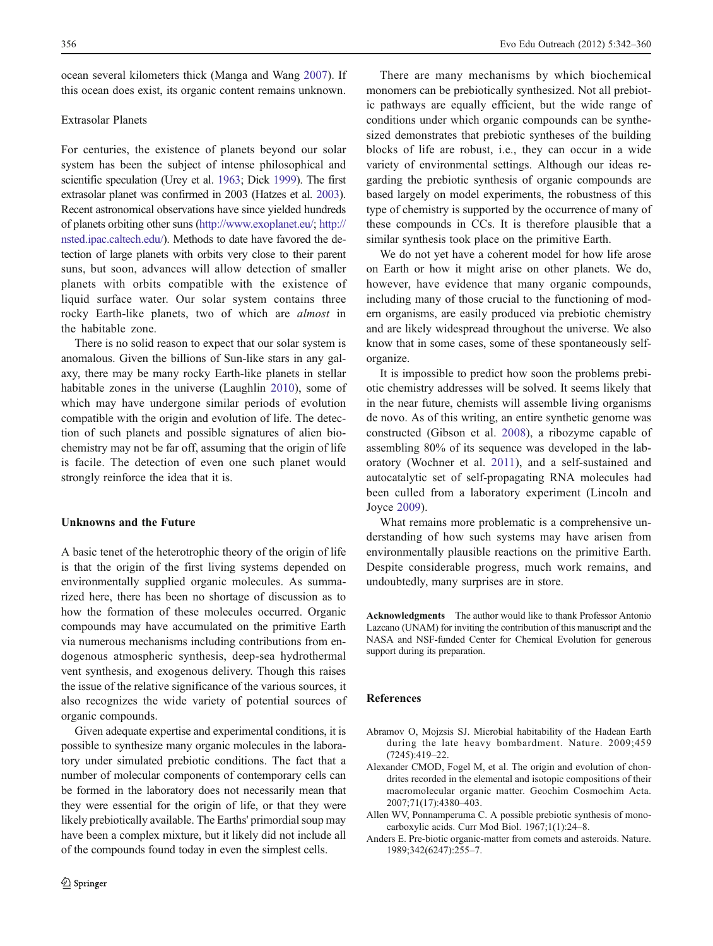<span id="page-14-0"></span>ocean several kilometers thick (Manga and Wang [2007\)](#page-16-0). If this ocean does exist, its organic content remains unknown.

## Extrasolar Planets

For centuries, the existence of planets beyond our solar system has been the subject of intense philosophical and scientific speculation (Urey et al. [1963](#page-18-0); Dick [1999\)](#page-15-0). The first extrasolar planet was confirmed in 2003 (Hatzes et al. [2003\)](#page-16-0). Recent astronomical observations have since yielded hundreds of planets orbiting other suns ([http://www.exoplanet.eu/;](http://www.exoplanet.eu/) [http://](http://nsted.ipac.caltech.edu/) [nsted.ipac.caltech.edu/](http://nsted.ipac.caltech.edu/)). Methods to date have favored the detection of large planets with orbits very close to their parent suns, but soon, advances will allow detection of smaller planets with orbits compatible with the existence of liquid surface water. Our solar system contains three rocky Earth-like planets, two of which are almost in the habitable zone.

There is no solid reason to expect that our solar system is anomalous. Given the billions of Sun-like stars in any galaxy, there may be many rocky Earth-like planets in stellar habitable zones in the universe (Laughlin [2010](#page-16-0)), some of which may have undergone similar periods of evolution compatible with the origin and evolution of life. The detection of such planets and possible signatures of alien biochemistry may not be far off, assuming that the origin of life is facile. The detection of even one such planet would strongly reinforce the idea that it is.

## Unknowns and the Future

A basic tenet of the heterotrophic theory of the origin of life is that the origin of the first living systems depended on environmentally supplied organic molecules. As summarized here, there has been no shortage of discussion as to how the formation of these molecules occurred. Organic compounds may have accumulated on the primitive Earth via numerous mechanisms including contributions from endogenous atmospheric synthesis, deep-sea hydrothermal vent synthesis, and exogenous delivery. Though this raises the issue of the relative significance of the various sources, it also recognizes the wide variety of potential sources of organic compounds.

Given adequate expertise and experimental conditions, it is possible to synthesize many organic molecules in the laboratory under simulated prebiotic conditions. The fact that a number of molecular components of contemporary cells can be formed in the laboratory does not necessarily mean that they were essential for the origin of life, or that they were likely prebiotically available. The Earths' primordial soup may have been a complex mixture, but it likely did not include all of the compounds found today in even the simplest cells.

There are many mechanisms by which biochemical monomers can be prebiotically synthesized. Not all prebiotic pathways are equally efficient, but the wide range of conditions under which organic compounds can be synthesized demonstrates that prebiotic syntheses of the building blocks of life are robust, i.e., they can occur in a wide variety of environmental settings. Although our ideas regarding the prebiotic synthesis of organic compounds are based largely on model experiments, the robustness of this type of chemistry is supported by the occurrence of many of these compounds in CCs. It is therefore plausible that a similar synthesis took place on the primitive Earth.

We do not yet have a coherent model for how life arose on Earth or how it might arise on other planets. We do, however, have evidence that many organic compounds, including many of those crucial to the functioning of modern organisms, are easily produced via prebiotic chemistry and are likely widespread throughout the universe. We also know that in some cases, some of these spontaneously selforganize.

It is impossible to predict how soon the problems prebiotic chemistry addresses will be solved. It seems likely that in the near future, chemists will assemble living organisms de novo. As of this writing, an entire synthetic genome was constructed (Gibson et al. [2008](#page-16-0)), a ribozyme capable of assembling 80% of its sequence was developed in the laboratory (Wochner et al. [2011\)](#page-18-0), and a self-sustained and autocatalytic set of self-propagating RNA molecules had been culled from a laboratory experiment (Lincoln and Joyce [2009\)](#page-16-0).

What remains more problematic is a comprehensive understanding of how such systems may have arisen from environmentally plausible reactions on the primitive Earth. Despite considerable progress, much work remains, and undoubtedly, many surprises are in store.

Acknowledgments The author would like to thank Professor Antonio Lazcano (UNAM) for inviting the contribution of this manuscript and the NASA and NSF-funded Center for Chemical Evolution for generous support during its preparation.

#### References

- Abramov O, Mojzsis SJ. Microbial habitability of the Hadean Earth during the late heavy bombardment. Nature. 2009;459 (7245):419–22.
- Alexander CMOD, Fogel M, et al. The origin and evolution of chondrites recorded in the elemental and isotopic compositions of their macromolecular organic matter. Geochim Cosmochim Acta. 2007;71(17):4380–403.
- Allen WV, Ponnamperuma C. A possible prebiotic synthesis of monocarboxylic acids. Curr Mod Biol. 1967;1(1):24–8.
- Anders E. Pre-biotic organic-matter from comets and asteroids. Nature. 1989;342(6247):255–7.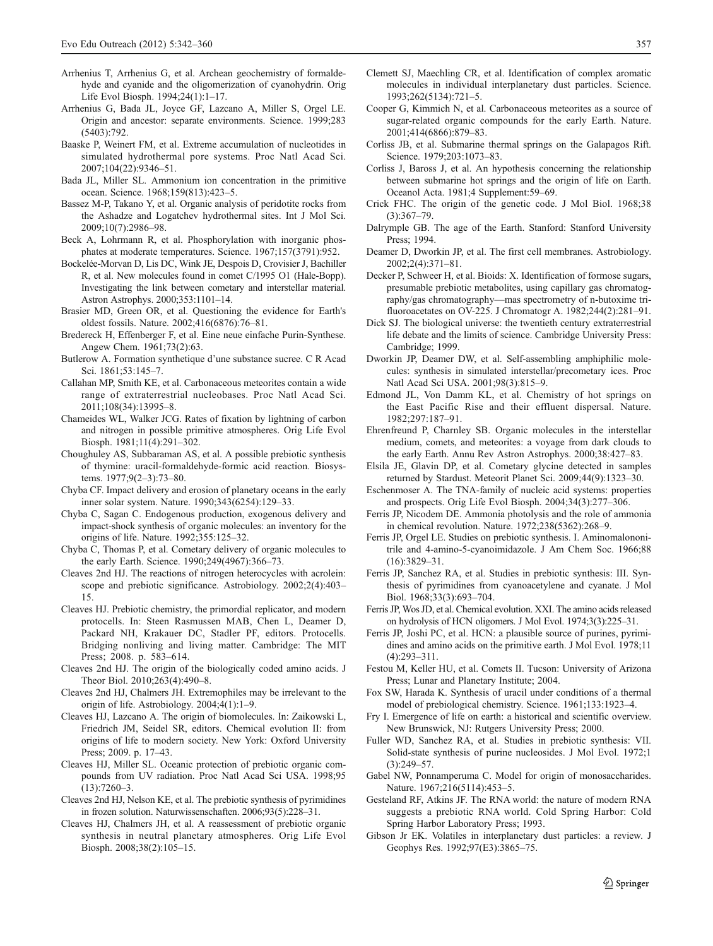- <span id="page-15-0"></span>Arrhenius T, Arrhenius G, et al. Archean geochemistry of formaldehyde and cyanide and the oligomerization of cyanohydrin. Orig Life Evol Biosph. 1994;24(1):1–17.
- Arrhenius G, Bada JL, Joyce GF, Lazcano A, Miller S, Orgel LE. Origin and ancestor: separate environments. Science. 1999;283 (5403):792.
- Baaske P, Weinert FM, et al. Extreme accumulation of nucleotides in simulated hydrothermal pore systems. Proc Natl Acad Sci. 2007;104(22):9346–51.
- Bada JL, Miller SL. Ammonium ion concentration in the primitive ocean. Science. 1968;159(813):423–5.
- Bassez M-P, Takano Y, et al. Organic analysis of peridotite rocks from the Ashadze and Logatchev hydrothermal sites. Int J Mol Sci. 2009;10(7):2986–98.
- Beck A, Lohrmann R, et al. Phosphorylation with inorganic phosphates at moderate temperatures. Science. 1967;157(3791):952.
- Bockelée-Morvan D, Lis DC, Wink JE, Despois D, Crovisier J, Bachiller R, et al. New molecules found in comet C/1995 O1 (Hale-Bopp). Investigating the link between cometary and interstellar material. Astron Astrophys. 2000;353:1101–14.
- Brasier MD, Green OR, et al. Questioning the evidence for Earth's oldest fossils. Nature. 2002;416(6876):76–81.
- Bredereck H, Effenberger F, et al. Eine neue einfache Purin-Synthese. Angew Chem. 1961;73(2):63.
- Butlerow A. Formation synthetique d'une substance sucree. C R Acad Sci. 1861;53:145–7.
- Callahan MP, Smith KE, et al. Carbonaceous meteorites contain a wide range of extraterrestrial nucleobases. Proc Natl Acad Sci. 2011;108(34):13995–8.
- Chameides WL, Walker JCG. Rates of fixation by lightning of carbon and nitrogen in possible primitive atmospheres. Orig Life Evol Biosph. 1981;11(4):291–302.
- Choughuley AS, Subbaraman AS, et al. A possible prebiotic synthesis of thymine: uracil-formaldehyde-formic acid reaction. Biosystems. 1977;9(2–3):73–80.
- Chyba CF. Impact delivery and erosion of planetary oceans in the early inner solar system. Nature. 1990;343(6254):129–33.
- Chyba C, Sagan C. Endogenous production, exogenous delivery and impact-shock synthesis of organic molecules: an inventory for the origins of life. Nature. 1992;355:125–32.
- Chyba C, Thomas P, et al. Cometary delivery of organic molecules to the early Earth. Science. 1990;249(4967):366–73.
- Cleaves 2nd HJ. The reactions of nitrogen heterocycles with acrolein: scope and prebiotic significance. Astrobiology. 2002;2(4):403– 15.
- Cleaves HJ. Prebiotic chemistry, the primordial replicator, and modern protocells. In: Steen Rasmussen MAB, Chen L, Deamer D, Packard NH, Krakauer DC, Stadler PF, editors. Protocells. Bridging nonliving and living matter. Cambridge: The MIT Press; 2008. p. 583–614.
- Cleaves 2nd HJ. The origin of the biologically coded amino acids. J Theor Biol. 2010;263(4):490–8.
- Cleaves 2nd HJ, Chalmers JH. Extremophiles may be irrelevant to the origin of life. Astrobiology. 2004;4(1):1–9.
- Cleaves HJ, Lazcano A. The origin of biomolecules. In: Zaikowski L, Friedrich JM, Seidel SR, editors. Chemical evolution II: from origins of life to modern society. New York: Oxford University Press; 2009. p. 17–43.
- Cleaves HJ, Miller SL. Oceanic protection of prebiotic organic compounds from UV radiation. Proc Natl Acad Sci USA. 1998;95  $(13):7260-3.$
- Cleaves 2nd HJ, Nelson KE, et al. The prebiotic synthesis of pyrimidines in frozen solution. Naturwissenschaften. 2006;93(5):228–31.
- Cleaves HJ, Chalmers JH, et al. A reassessment of prebiotic organic synthesis in neutral planetary atmospheres. Orig Life Evol Biosph. 2008;38(2):105–15.
- Clemett SJ, Maechling CR, et al. Identification of complex aromatic molecules in individual interplanetary dust particles. Science. 1993;262(5134):721–5.
- Cooper G, Kimmich N, et al. Carbonaceous meteorites as a source of sugar-related organic compounds for the early Earth. Nature. 2001;414(6866):879–83.
- Corliss JB, et al. Submarine thermal springs on the Galapagos Rift. Science. 1979;203:1073–83.
- Corliss J, Baross J, et al. An hypothesis concerning the relationship between submarine hot springs and the origin of life on Earth. Oceanol Acta. 1981;4 Supplement:59–69.
- Crick FHC. The origin of the genetic code. J Mol Biol. 1968;38 (3):367–79.
- Dalrymple GB. The age of the Earth. Stanford: Stanford University Press; 1994.
- Deamer D, Dworkin JP, et al. The first cell membranes. Astrobiology. 2002;2(4):371–81.
- Decker P, Schweer H, et al. Bioids: X. Identification of formose sugars, presumable prebiotic metabolites, using capillary gas chromatography/gas chromatography—mas spectrometry of n-butoxime trifluoroacetates on OV-225. J Chromatogr A. 1982;244(2):281–91.
- Dick SJ. The biological universe: the twentieth century extraterrestrial life debate and the limits of science. Cambridge University Press: Cambridge; 1999.
- Dworkin JP, Deamer DW, et al. Self-assembling amphiphilic molecules: synthesis in simulated interstellar/precometary ices. Proc Natl Acad Sci USA. 2001;98(3):815–9.
- Edmond JL, Von Damm KL, et al. Chemistry of hot springs on the East Pacific Rise and their effluent dispersal. Nature. 1982;297:187–91.
- Ehrenfreund P, Charnley SB. Organic molecules in the interstellar medium, comets, and meteorites: a voyage from dark clouds to the early Earth. Annu Rev Astron Astrophys. 2000;38:427–83.
- Elsila JE, Glavin DP, et al. Cometary glycine detected in samples returned by Stardust. Meteorit Planet Sci. 2009;44(9):1323–30.
- Eschenmoser A. The TNA-family of nucleic acid systems: properties and prospects. Orig Life Evol Biosph. 2004;34(3):277–306.
- Ferris JP, Nicodem DE. Ammonia photolysis and the role of ammonia in chemical revolution. Nature. 1972;238(5362):268–9.
- Ferris JP, Orgel LE. Studies on prebiotic synthesis. I. Aminomalononitrile and 4-amino-5-cyanoimidazole. J Am Chem Soc. 1966;88 (16):3829–31.
- Ferris JP, Sanchez RA, et al. Studies in prebiotic synthesis: III. Synthesis of pyrimidines from cyanoacetylene and cyanate. J Mol Biol. 1968;33(3):693–704.
- Ferris JP, Wos JD, et al. Chemical evolution. XXI. The amino acids released on hydrolysis of HCN oligomers. J Mol Evol. 1974;3(3):225–31.
- Ferris JP, Joshi PC, et al. HCN: a plausible source of purines, pyrimidines and amino acids on the primitive earth. J Mol Evol. 1978;11 (4):293–311.
- Festou M, Keller HU, et al. Comets II. Tucson: University of Arizona Press; Lunar and Planetary Institute; 2004.
- Fox SW, Harada K. Synthesis of uracil under conditions of a thermal model of prebiological chemistry. Science. 1961;133:1923–4.
- Fry I. Emergence of life on earth: a historical and scientific overview. New Brunswick, NJ: Rutgers University Press; 2000.
- Fuller WD, Sanchez RA, et al. Studies in prebiotic synthesis: VII. Solid-state synthesis of purine nucleosides. J Mol Evol. 1972;1 (3):249–57.
- Gabel NW, Ponnamperuma C. Model for origin of monosaccharides. Nature. 1967;216(5114):453–5.
- Gesteland RF, Atkins JF. The RNA world: the nature of modern RNA suggests a prebiotic RNA world. Cold Spring Harbor: Cold Spring Harbor Laboratory Press; 1993.
- Gibson Jr EK. Volatiles in interplanetary dust particles: a review. J Geophys Res. 1992;97(E3):3865–75.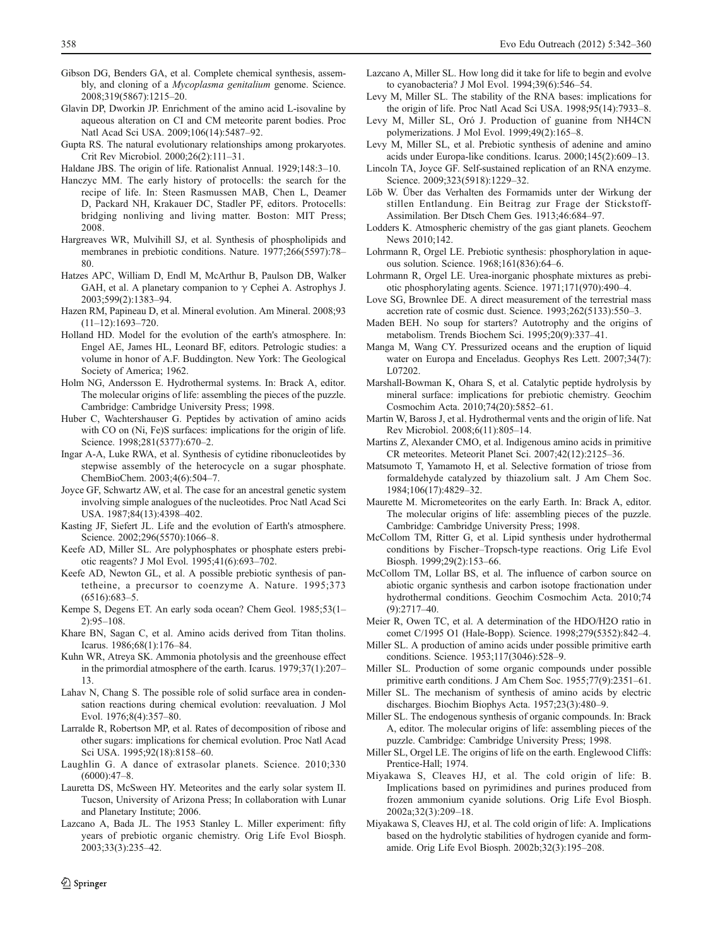- <span id="page-16-0"></span>Gibson DG, Benders GA, et al. Complete chemical synthesis, assembly, and cloning of a Mycoplasma genitalium genome. Science. 2008;319(5867):1215–20.
- Glavin DP, Dworkin JP. Enrichment of the amino acid L-isovaline by aqueous alteration on CI and CM meteorite parent bodies. Proc Natl Acad Sci USA. 2009;106(14):5487–92.
- Gupta RS. The natural evolutionary relationships among prokaryotes. Crit Rev Microbiol. 2000;26(2):111–31.

Haldane JBS. The origin of life. Rationalist Annual. 1929;148:3–10.

- Hanczyc MM. The early history of protocells: the search for the recipe of life. In: Steen Rasmussen MAB, Chen L, Deamer D, Packard NH, Krakauer DC, Stadler PF, editors. Protocells: bridging nonliving and living matter. Boston: MIT Press; 2008.
- Hargreaves WR, Mulvihill SJ, et al. Synthesis of phospholipids and membranes in prebiotic conditions. Nature. 1977;266(5597):78– 80.
- Hatzes APC, William D, Endl M, McArthur B, Paulson DB, Walker GAH, et al. A planetary companion to  $\gamma$  Cephei A. Astrophys J. 2003;599(2):1383–94.
- Hazen RM, Papineau D, et al. Mineral evolution. Am Mineral. 2008;93 (11–12):1693–720.
- Holland HD. Model for the evolution of the earth's atmosphere. In: Engel AE, James HL, Leonard BF, editors. Petrologic studies: a volume in honor of A.F. Buddington. New York: The Geological Society of America; 1962.
- Holm NG, Andersson E. Hydrothermal systems. In: Brack A, editor. The molecular origins of life: assembling the pieces of the puzzle. Cambridge: Cambridge University Press; 1998.
- Huber C, Wachtershauser G. Peptides by activation of amino acids with CO on (Ni, Fe)S surfaces: implications for the origin of life. Science. 1998;281(5377):670-2.
- Ingar A-A, Luke RWA, et al. Synthesis of cytidine ribonucleotides by stepwise assembly of the heterocycle on a sugar phosphate. ChemBioChem. 2003;4(6):504–7.
- Joyce GF, Schwartz AW, et al. The case for an ancestral genetic system involving simple analogues of the nucleotides. Proc Natl Acad Sci USA. 1987;84(13):4398–402.
- Kasting JF, Siefert JL. Life and the evolution of Earth's atmosphere. Science. 2002;296(5570):1066-8.
- Keefe AD, Miller SL. Are polyphosphates or phosphate esters prebiotic reagents? J Mol Evol. 1995;41(6):693–702.
- Keefe AD, Newton GL, et al. A possible prebiotic synthesis of pantetheine, a precursor to coenzyme A. Nature. 1995;373 (6516):683–5.
- Kempe S, Degens ET. An early soda ocean? Chem Geol. 1985;53(1– 2):95–108.
- Khare BN, Sagan C, et al. Amino acids derived from Titan tholins. Icarus. 1986;68(1):176–84.
- Kuhn WR, Atreya SK. Ammonia photolysis and the greenhouse effect in the primordial atmosphere of the earth. Icarus. 1979;37(1):207– 13.
- Lahav N, Chang S. The possible role of solid surface area in condensation reactions during chemical evolution: reevaluation. J Mol Evol. 1976;8(4):357–80.
- Larralde R, Robertson MP, et al. Rates of decomposition of ribose and other sugars: implications for chemical evolution. Proc Natl Acad Sci USA. 1995;92(18):8158–60.
- Laughlin G. A dance of extrasolar planets. Science. 2010;330  $(6000):47-8.$
- Lauretta DS, McSween HY. Meteorites and the early solar system II. Tucson, University of Arizona Press; In collaboration with Lunar and Planetary Institute; 2006.
- Lazcano A, Bada JL. The 1953 Stanley L. Miller experiment: fifty years of prebiotic organic chemistry. Orig Life Evol Biosph. 2003;33(3):235–42.
- Lazcano A, Miller SL. How long did it take for life to begin and evolve to cyanobacteria? J Mol Evol. 1994;39(6):546–54.
- Levy M, Miller SL. The stability of the RNA bases: implications for the origin of life. Proc Natl Acad Sci USA. 1998;95(14):7933–8.
- Levy M, Miller SL, Oró J. Production of guanine from NH4CN polymerizations. J Mol Evol. 1999;49(2):165–8.
- Levy M, Miller SL, et al. Prebiotic synthesis of adenine and amino acids under Europa-like conditions. Icarus. 2000;145(2):609–13.
- Lincoln TA, Joyce GF. Self-sustained replication of an RNA enzyme. Science. 2009;323(5918):1229–32.
- Löb W. Über das Verhalten des Formamids unter der Wirkung der stillen Entlandung. Ein Beitrag zur Frage der Stickstoff-Assimilation. Ber Dtsch Chem Ges. 1913;46:684–97.
- Lodders K. Atmospheric chemistry of the gas giant planets. Geochem News 2010;142.
- Lohrmann R, Orgel LE. Prebiotic synthesis: phosphorylation in aqueous solution. Science. 1968;161(836):64–6.
- Lohrmann R, Orgel LE. Urea-inorganic phosphate mixtures as prebiotic phosphorylating agents. Science. 1971;171(970):490–4.
- Love SG, Brownlee DE. A direct measurement of the terrestrial mass accretion rate of cosmic dust. Science. 1993;262(5133):550–3.
- Maden BEH. No soup for starters? Autotrophy and the origins of metabolism. Trends Biochem Sci. 1995;20(9):337–41.
- Manga M, Wang CY. Pressurized oceans and the eruption of liquid water on Europa and Enceladus. Geophys Res Lett. 2007;34(7): L07202.
- Marshall-Bowman K, Ohara S, et al. Catalytic peptide hydrolysis by mineral surface: implications for prebiotic chemistry. Geochim Cosmochim Acta. 2010;74(20):5852–61.
- Martin W, Baross J, et al. Hydrothermal vents and the origin of life. Nat Rev Microbiol. 2008;6(11):805–14.
- Martins Z, Alexander CMO, et al. Indigenous amino acids in primitive CR meteorites. Meteorit Planet Sci. 2007;42(12):2125–36.
- Matsumoto T, Yamamoto H, et al. Selective formation of triose from formaldehyde catalyzed by thiazolium salt. J Am Chem Soc. 1984;106(17):4829–32.
- Maurette M. Micrometeorites on the early Earth. In: Brack A, editor. The molecular origins of life: assembling pieces of the puzzle. Cambridge: Cambridge University Press; 1998.
- McCollom TM, Ritter G, et al. Lipid synthesis under hydrothermal conditions by Fischer–Tropsch-type reactions. Orig Life Evol Biosph. 1999;29(2):153–66.
- McCollom TM, Lollar BS, et al. The influence of carbon source on abiotic organic synthesis and carbon isotope fractionation under hydrothermal conditions. Geochim Cosmochim Acta. 2010;74 (9):2717–40.
- Meier R, Owen TC, et al. A determination of the HDO/H2O ratio in comet C/1995 O1 (Hale-Bopp). Science. 1998;279(5352):842–4.
- Miller SL. A production of amino acids under possible primitive earth conditions. Science. 1953;117(3046):528–9.
- Miller SL. Production of some organic compounds under possible primitive earth conditions. J Am Chem Soc. 1955;77(9):2351–61.
- Miller SL. The mechanism of synthesis of amino acids by electric discharges. Biochim Biophys Acta. 1957;23(3):480–9.
- Miller SL. The endogenous synthesis of organic compounds. In: Brack A, editor. The molecular origins of life: assembling pieces of the puzzle. Cambridge: Cambridge University Press; 1998.
- Miller SL, Orgel LE. The origins of life on the earth. Englewood Cliffs: Prentice-Hall; 1974.
- Miyakawa S, Cleaves HJ, et al. The cold origin of life: B. Implications based on pyrimidines and purines produced from frozen ammonium cyanide solutions. Orig Life Evol Biosph. 2002a;32(3):209–18.
- Miyakawa S, Cleaves HJ, et al. The cold origin of life: A. Implications based on the hydrolytic stabilities of hydrogen cyanide and formamide. Orig Life Evol Biosph. 2002b;32(3):195–208.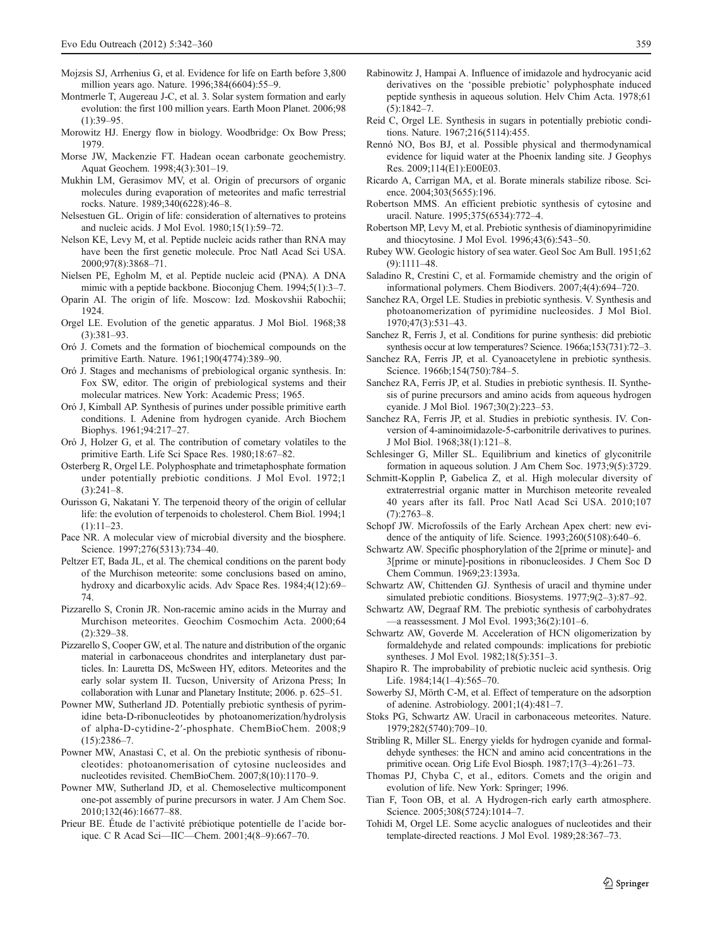- <span id="page-17-0"></span>Mojzsis SJ, Arrhenius G, et al. Evidence for life on Earth before 3,800 million years ago. Nature. 1996;384(6604):55–9.
- Montmerle T, Augereau J-C, et al. 3. Solar system formation and early evolution: the first 100 million years. Earth Moon Planet. 2006;98  $(1):39-95.$
- Morowitz HJ. Energy flow in biology. Woodbridge: Ox Bow Press; 1979.
- Morse JW, Mackenzie FT. Hadean ocean carbonate geochemistry. Aquat Geochem. 1998;4(3):301–19.
- Mukhin LM, Gerasimov MV, et al. Origin of precursors of organic molecules during evaporation of meteorites and mafic terrestrial rocks. Nature. 1989;340(6228):46–8.
- Nelsestuen GL. Origin of life: consideration of alternatives to proteins and nucleic acids. J Mol Evol. 1980;15(1):59–72.
- Nelson KE, Levy M, et al. Peptide nucleic acids rather than RNA may have been the first genetic molecule. Proc Natl Acad Sci USA. 2000;97(8):3868–71.
- Nielsen PE, Egholm M, et al. Peptide nucleic acid (PNA). A DNA mimic with a peptide backbone. Bioconjug Chem. 1994;5(1):3–7.
- Oparin AI. The origin of life. Moscow: Izd. Moskovshii Rabochii; 1924.
- Orgel LE. Evolution of the genetic apparatus. J Mol Biol. 1968;38 (3):381–93.
- Oró J. Comets and the formation of biochemical compounds on the primitive Earth. Nature. 1961;190(4774):389–90.
- Oró J. Stages and mechanisms of prebiological organic synthesis. In: Fox SW, editor. The origin of prebiological systems and their molecular matrices. New York: Academic Press; 1965.
- Oró J, Kimball AP. Synthesis of purines under possible primitive earth conditions. I. Adenine from hydrogen cyanide. Arch Biochem Biophys. 1961;94:217–27.
- Oró J, Holzer G, et al. The contribution of cometary volatiles to the primitive Earth. Life Sci Space Res. 1980;18:67–82.
- Osterberg R, Orgel LE. Polyphosphate and trimetaphosphate formation under potentially prebiotic conditions. J Mol Evol. 1972;1  $(3):241-8.$
- Ourisson G, Nakatani Y. The terpenoid theory of the origin of cellular life: the evolution of terpenoids to cholesterol. Chem Biol. 1994;1  $(1):11-23$ .
- Pace NR. A molecular view of microbial diversity and the biosphere. Science. 1997;276(5313):734–40.
- Peltzer ET, Bada JL, et al. The chemical conditions on the parent body of the Murchison meteorite: some conclusions based on amino, hydroxy and dicarboxylic acids. Adv Space Res. 1984;4(12):69– 74.
- Pizzarello S, Cronin JR. Non-racemic amino acids in the Murray and Murchison meteorites. Geochim Cosmochim Acta. 2000;64 (2):329–38.
- Pizzarello S, Cooper GW, et al. The nature and distribution of the organic material in carbonaceous chondrites and interplanetary dust particles. In: Lauretta DS, McSween HY, editors. Meteorites and the early solar system II. Tucson, University of Arizona Press; In collaboration with Lunar and Planetary Institute; 2006. p. 625–51.
- Powner MW, Sutherland JD. Potentially prebiotic synthesis of pyrimidine beta-D-ribonucleotides by photoanomerization/hydrolysis of alpha-D-cytidine-2′-phosphate. ChemBioChem. 2008;9  $(15):2386 - 7.$
- Powner MW, Anastasi C, et al. On the prebiotic synthesis of ribonucleotides: photoanomerisation of cytosine nucleosides and nucleotides revisited. ChemBioChem. 2007;8(10):1170–9.
- Powner MW, Sutherland JD, et al. Chemoselective multicomponent one-pot assembly of purine precursors in water. J Am Chem Soc. 2010;132(46):16677–88.
- Prieur BE. Étude de l'activité prébiotique potentielle de l'acide borique. C R Acad Sci—IIC—Chem. 2001;4(8–9):667–70.
- Rabinowitz J, Hampai A. Influence of imidazole and hydrocyanic acid derivatives on the 'possible prebiotic' polyphosphate induced peptide synthesis in aqueous solution. Helv Chim Acta. 1978;61 (5):1842–7.
- Reid C, Orgel LE. Synthesis in sugars in potentially prebiotic conditions. Nature. 1967;216(5114):455.
- Rennó NO, Bos BJ, et al. Possible physical and thermodynamical evidence for liquid water at the Phoenix landing site. J Geophys Res. 2009;114(E1):E00E03.
- Ricardo A, Carrigan MA, et al. Borate minerals stabilize ribose. Science. 2004;303(5655):196.
- Robertson MMS. An efficient prebiotic synthesis of cytosine and uracil. Nature. 1995;375(6534):772–4.
- Robertson MP, Levy M, et al. Prebiotic synthesis of diaminopyrimidine and thiocytosine. J Mol Evol. 1996;43(6):543–50.
- Rubey WW. Geologic history of sea water. Geol Soc Am Bull. 1951;62 (9):1111–48.
- Saladino R, Crestini C, et al. Formamide chemistry and the origin of informational polymers. Chem Biodivers. 2007;4(4):694–720.
- Sanchez RA, Orgel LE. Studies in prebiotic synthesis. V. Synthesis and photoanomerization of pyrimidine nucleosides. J Mol Biol. 1970;47(3):531–43.
- Sanchez R, Ferris J, et al. Conditions for purine synthesis: did prebiotic synthesis occur at low temperatures? Science. 1966a;153(731):72–3.
- Sanchez RA, Ferris JP, et al. Cyanoacetylene in prebiotic synthesis. Science. 1966b;154(750):784–5.
- Sanchez RA, Ferris JP, et al. Studies in prebiotic synthesis. II. Synthesis of purine precursors and amino acids from aqueous hydrogen cyanide. J Mol Biol. 1967;30(2):223–53.
- Sanchez RA, Ferris JP, et al. Studies in prebiotic synthesis. IV. Conversion of 4-aminoimidazole-5-carbonitrile derivatives to purines. J Mol Biol. 1968;38(1):121–8.
- Schlesinger G, Miller SL. Equilibrium and kinetics of glyconitrile formation in aqueous solution. J Am Chem Soc. 1973;9(5):3729.
- Schmitt-Kopplin P, Gabelica Z, et al. High molecular diversity of extraterrestrial organic matter in Murchison meteorite revealed 40 years after its fall. Proc Natl Acad Sci USA. 2010;107 (7):2763–8.
- Schopf JW. Microfossils of the Early Archean Apex chert: new evidence of the antiquity of life. Science. 1993;260(5108):640–6.
- Schwartz AW. Specific phosphorylation of the 2[prime or minute]- and 3[prime or minute]-positions in ribonucleosides. J Chem Soc D Chem Commun. 1969;23:1393a.
- Schwartz AW, Chittenden GJ. Synthesis of uracil and thymine under simulated prebiotic conditions. Biosystems. 1977;9(2–3):87–92.
- Schwartz AW, Degraaf RM. The prebiotic synthesis of carbohydrates —a reassessment. J Mol Evol. 1993;36(2):101–6.
- Schwartz AW, Goverde M. Acceleration of HCN oligomerization by formaldehyde and related compounds: implications for prebiotic syntheses. J Mol Evol. 1982;18(5):351–3.
- Shapiro R. The improbability of prebiotic nucleic acid synthesis. Orig Life. 1984;14(1–4):565–70.
- Sowerby SJ, Mörth C-M, et al. Effect of temperature on the adsorption of adenine. Astrobiology. 2001;1(4):481–7.
- Stoks PG, Schwartz AW. Uracil in carbonaceous meteorites. Nature. 1979;282(5740):709–10.
- Stribling R, Miller SL. Energy yields for hydrogen cyanide and formaldehyde syntheses: the HCN and amino acid concentrations in the primitive ocean. Orig Life Evol Biosph. 1987;17(3–4):261–73.
- Thomas PJ, Chyba C, et al., editors. Comets and the origin and evolution of life. New York: Springer; 1996.
- Tian F, Toon OB, et al. A Hydrogen-rich early earth atmosphere. Science. 2005;308(5724):1014–7.
- Tohidi M, Orgel LE. Some acyclic analogues of nucleotides and their template-directed reactions. J Mol Evol. 1989;28:367–73.